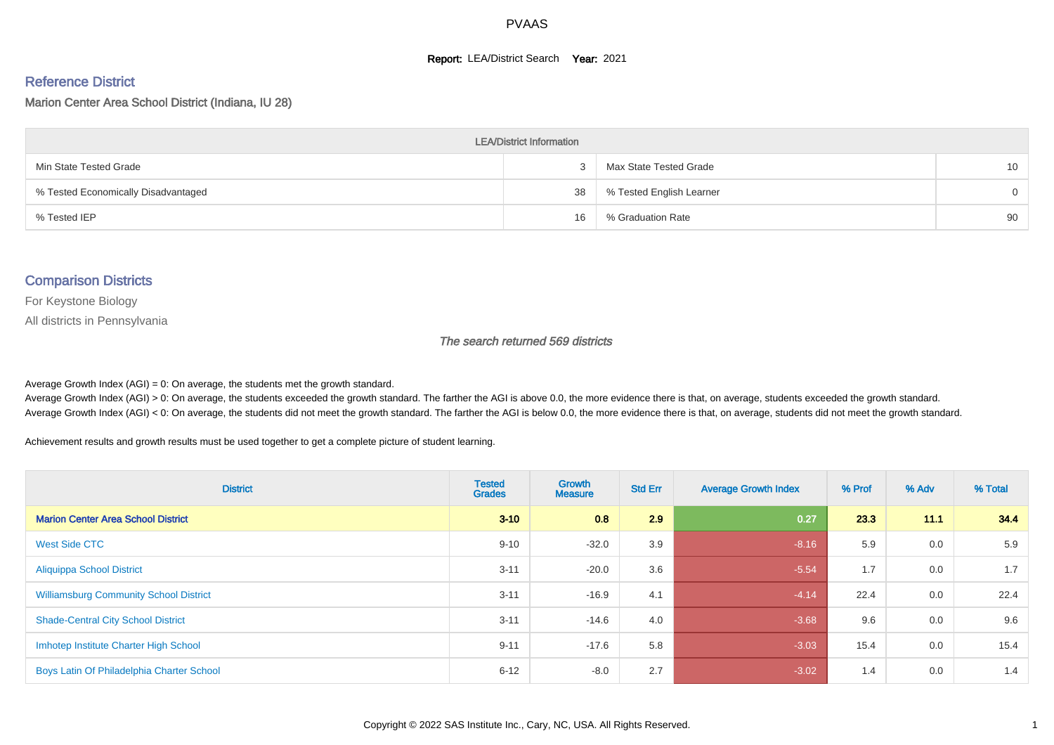#### **Report: LEA/District Search Year: 2021**

#### Reference District

Marion Center Area School District (Indiana, IU 28)

| <b>LEA/District Information</b>     |    |                          |                 |  |  |  |  |  |  |
|-------------------------------------|----|--------------------------|-----------------|--|--|--|--|--|--|
| Min State Tested Grade              |    | Max State Tested Grade   | 10 <sup>1</sup> |  |  |  |  |  |  |
| % Tested Economically Disadvantaged | 38 | % Tested English Learner | $\Omega$        |  |  |  |  |  |  |
| % Tested IEP                        | 16 | % Graduation Rate        | 90              |  |  |  |  |  |  |

#### Comparison Districts

For Keystone Biology

All districts in Pennsylvania

The search returned 569 districts

Average Growth Index  $(AGI) = 0$ : On average, the students met the growth standard.

Average Growth Index (AGI) > 0: On average, the students exceeded the growth standard. The farther the AGI is above 0.0, the more evidence there is that, on average, students exceeded the growth standard. Average Growth Index (AGI) < 0: On average, the students did not meet the growth standard. The farther the AGI is below 0.0, the more evidence there is that, on average, students did not meet the growth standard.

Achievement results and growth results must be used together to get a complete picture of student learning.

| <b>District</b>                               | <b>Tested</b><br><b>Grades</b> | Growth<br><b>Measure</b> | <b>Std Err</b> | <b>Average Growth Index</b> | % Prof | % Adv | % Total |
|-----------------------------------------------|--------------------------------|--------------------------|----------------|-----------------------------|--------|-------|---------|
| <b>Marion Center Area School District</b>     | $3 - 10$                       | 0.8                      | 2.9            | 0.27                        | 23.3   | 11.1  | 34.4    |
| West Side CTC                                 | $9 - 10$                       | $-32.0$                  | 3.9            | $-8.16$                     | 5.9    | 0.0   | 5.9     |
| <b>Aliquippa School District</b>              | $3 - 11$                       | $-20.0$                  | 3.6            | $-5.54$                     | 1.7    | 0.0   | 1.7     |
| <b>Williamsburg Community School District</b> | $3 - 11$                       | $-16.9$                  | 4.1            | $-4.14$                     | 22.4   | 0.0   | 22.4    |
| <b>Shade-Central City School District</b>     | $3 - 11$                       | $-14.6$                  | 4.0            | $-3.68$                     | 9.6    | 0.0   | 9.6     |
| Imhotep Institute Charter High School         | $9 - 11$                       | $-17.6$                  | 5.8            | $-3.03$                     | 15.4   | 0.0   | 15.4    |
| Boys Latin Of Philadelphia Charter School     | $6 - 12$                       | $-8.0$                   | 2.7            | $-3.02$                     | 1.4    | 0.0   | 1.4     |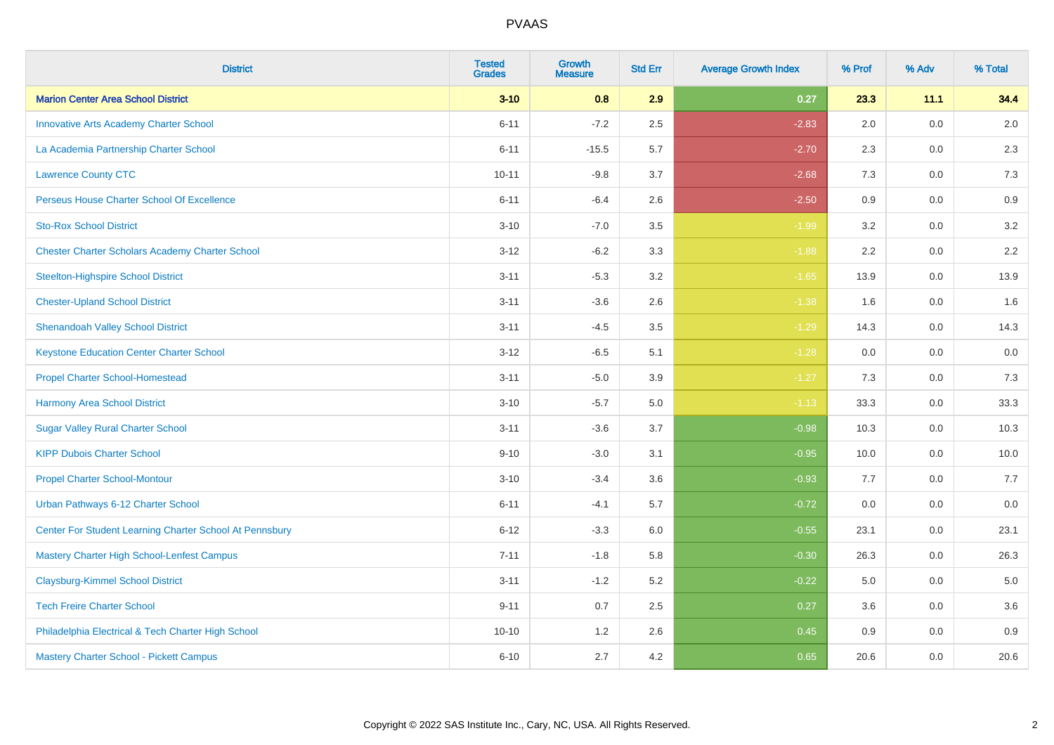| <b>District</b>                                         | <b>Tested</b><br><b>Grades</b> | <b>Growth</b><br><b>Measure</b> | <b>Std Err</b> | <b>Average Growth Index</b> | % Prof | % Adv   | % Total |
|---------------------------------------------------------|--------------------------------|---------------------------------|----------------|-----------------------------|--------|---------|---------|
| <b>Marion Center Area School District</b>               | $3 - 10$                       | 0.8                             | 2.9            | 0.27                        | 23.3   | 11.1    | 34.4    |
| <b>Innovative Arts Academy Charter School</b>           | $6 - 11$                       | $-7.2$                          | 2.5            | $-2.83$                     | 2.0    | 0.0     | 2.0     |
| La Academia Partnership Charter School                  | $6 - 11$                       | $-15.5$                         | 5.7            | $-2.70$                     | 2.3    | $0.0\,$ | 2.3     |
| <b>Lawrence County CTC</b>                              | $10 - 11$                      | $-9.8$                          | 3.7            | $-2.68$                     | 7.3    | 0.0     | 7.3     |
| <b>Perseus House Charter School Of Excellence</b>       | $6 - 11$                       | $-6.4$                          | 2.6            | $-2.50$                     | 0.9    | 0.0     | 0.9     |
| <b>Sto-Rox School District</b>                          | $3 - 10$                       | $-7.0$                          | 3.5            | $-1.99$                     | 3.2    | $0.0\,$ | 3.2     |
| <b>Chester Charter Scholars Academy Charter School</b>  | $3 - 12$                       | $-6.2$                          | 3.3            | $-1.88$                     | 2.2    | 0.0     | $2.2\,$ |
| <b>Steelton-Highspire School District</b>               | $3 - 11$                       | $-5.3$                          | 3.2            | $-1.65$                     | 13.9   | 0.0     | 13.9    |
| <b>Chester-Upland School District</b>                   | $3 - 11$                       | $-3.6$                          | 2.6            | $-1.38$                     | 1.6    | $0.0\,$ | 1.6     |
| <b>Shenandoah Valley School District</b>                | $3 - 11$                       | $-4.5$                          | 3.5            | $-1.29$                     | 14.3   | 0.0     | 14.3    |
| <b>Keystone Education Center Charter School</b>         | $3 - 12$                       | $-6.5$                          | 5.1            | $-1.28$                     | 0.0    | 0.0     | 0.0     |
| <b>Propel Charter School-Homestead</b>                  | $3 - 11$                       | $-5.0$                          | 3.9            | $-1.27$                     | 7.3    | $0.0\,$ | $7.3$   |
| <b>Harmony Area School District</b>                     | $3 - 10$                       | $-5.7$                          | 5.0            | $-1.13$                     | 33.3   | 0.0     | 33.3    |
| <b>Sugar Valley Rural Charter School</b>                | $3 - 11$                       | $-3.6$                          | 3.7            | $-0.98$                     | 10.3   | 0.0     | 10.3    |
| <b>KIPP Dubois Charter School</b>                       | $9 - 10$                       | $-3.0$                          | 3.1            | $-0.95$                     | 10.0   | $0.0\,$ | 10.0    |
| <b>Propel Charter School-Montour</b>                    | $3 - 10$                       | $-3.4$                          | 3.6            | $-0.93$                     | 7.7    | 0.0     | 7.7     |
| Urban Pathways 6-12 Charter School                      | $6 - 11$                       | $-4.1$                          | 5.7            | $-0.72$                     | 0.0    | 0.0     | $0.0\,$ |
| Center For Student Learning Charter School At Pennsbury | $6 - 12$                       | $-3.3$                          | 6.0            | $-0.55$                     | 23.1   | $0.0\,$ | 23.1    |
| Mastery Charter High School-Lenfest Campus              | $7 - 11$                       | $-1.8$                          | 5.8            | $-0.30$                     | 26.3   | 0.0     | 26.3    |
| <b>Claysburg-Kimmel School District</b>                 | $3 - 11$                       | $-1.2$                          | 5.2            | $-0.22$                     | 5.0    | $0.0\,$ | 5.0     |
| <b>Tech Freire Charter School</b>                       | $9 - 11$                       | 0.7                             | 2.5            | 0.27                        | 3.6    | 0.0     | 3.6     |
| Philadelphia Electrical & Tech Charter High School      | $10 - 10$                      | 1.2                             | 2.6            | 0.45                        | 0.9    | 0.0     | 0.9     |
| Mastery Charter School - Pickett Campus                 | $6 - 10$                       | 2.7                             | 4.2            | 0.65                        | 20.6   | $0.0\,$ | 20.6    |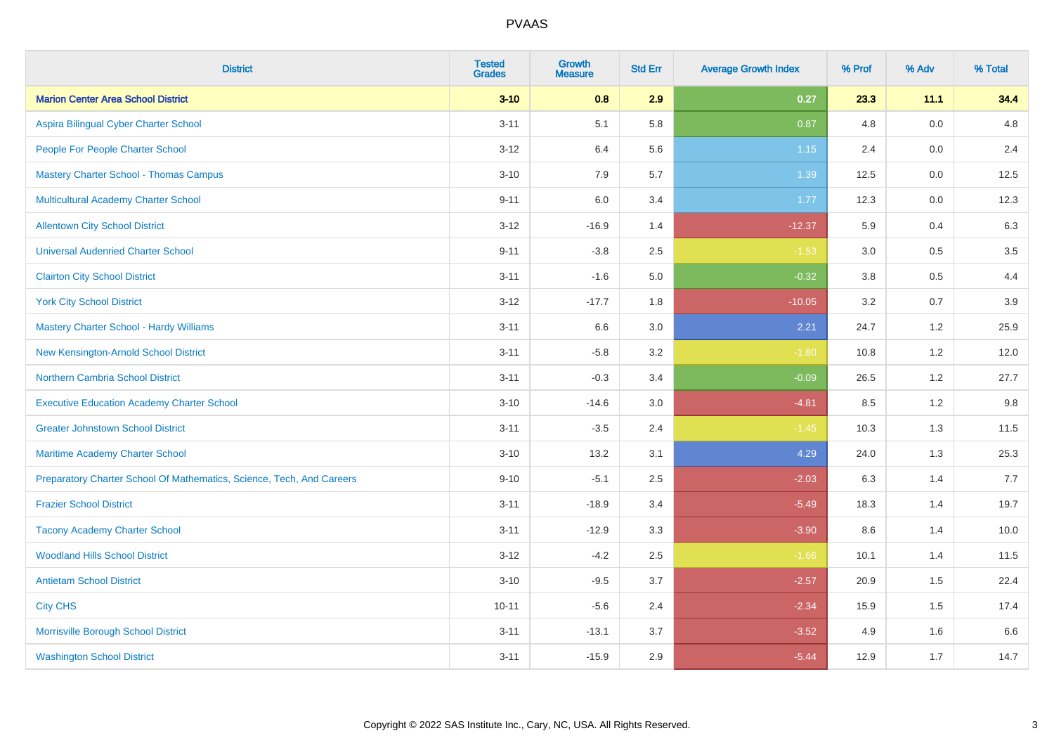| <b>District</b>                                                       | <b>Tested</b><br><b>Grades</b> | <b>Growth</b><br><b>Measure</b> | <b>Std Err</b> | <b>Average Growth Index</b> | % Prof | % Adv | % Total |
|-----------------------------------------------------------------------|--------------------------------|---------------------------------|----------------|-----------------------------|--------|-------|---------|
| <b>Marion Center Area School District</b>                             | $3 - 10$                       | 0.8                             | 2.9            | 0.27                        | 23.3   | 11.1  | 34.4    |
| Aspira Bilingual Cyber Charter School                                 | $3 - 11$                       | 5.1                             | 5.8            | 0.87                        | 4.8    | 0.0   | 4.8     |
| People For People Charter School                                      | $3 - 12$                       | 6.4                             | 5.6            | 1.15                        | 2.4    | 0.0   | 2.4     |
| <b>Mastery Charter School - Thomas Campus</b>                         | $3 - 10$                       | 7.9                             | 5.7            | 1.39                        | 12.5   | 0.0   | 12.5    |
| <b>Multicultural Academy Charter School</b>                           | $9 - 11$                       | 6.0                             | 3.4            | 1.77                        | 12.3   | 0.0   | 12.3    |
| <b>Allentown City School District</b>                                 | $3 - 12$                       | $-16.9$                         | 1.4            | $-12.37$                    | 5.9    | 0.4   | 6.3     |
| <b>Universal Audenried Charter School</b>                             | $9 - 11$                       | $-3.8$                          | 2.5            | $-1.53$                     | 3.0    | 0.5   | $3.5\,$ |
| <b>Clairton City School District</b>                                  | $3 - 11$                       | $-1.6$                          | 5.0            | $-0.32$                     | 3.8    | 0.5   | 4.4     |
| <b>York City School District</b>                                      | $3 - 12$                       | $-17.7$                         | 1.8            | $-10.05$                    | 3.2    | 0.7   | 3.9     |
| <b>Mastery Charter School - Hardy Williams</b>                        | $3 - 11$                       | 6.6                             | $3.0\,$        | 2.21                        | 24.7   | 1.2   | 25.9    |
| New Kensington-Arnold School District                                 | $3 - 11$                       | $-5.8$                          | 3.2            | $-1.80$                     | 10.8   | 1.2   | 12.0    |
| <b>Northern Cambria School District</b>                               | $3 - 11$                       | $-0.3$                          | 3.4            | $-0.09$                     | 26.5   | 1.2   | 27.7    |
| <b>Executive Education Academy Charter School</b>                     | $3 - 10$                       | $-14.6$                         | 3.0            | $-4.81$                     | 8.5    | 1.2   | 9.8     |
| <b>Greater Johnstown School District</b>                              | $3 - 11$                       | $-3.5$                          | 2.4            | $-1.45$                     | 10.3   | 1.3   | 11.5    |
| Maritime Academy Charter School                                       | $3 - 10$                       | 13.2                            | 3.1            | 4.29                        | 24.0   | 1.3   | 25.3    |
| Preparatory Charter School Of Mathematics, Science, Tech, And Careers | $9 - 10$                       | $-5.1$                          | 2.5            | $-2.03$                     | 6.3    | 1.4   | 7.7     |
| <b>Frazier School District</b>                                        | $3 - 11$                       | $-18.9$                         | 3.4            | $-5.49$                     | 18.3   | 1.4   | 19.7    |
| <b>Tacony Academy Charter School</b>                                  | $3 - 11$                       | $-12.9$                         | 3.3            | $-3.90$                     | 8.6    | 1.4   | 10.0    |
| <b>Woodland Hills School District</b>                                 | $3 - 12$                       | $-4.2$                          | 2.5            | $-1.66$                     | 10.1   | 1.4   | 11.5    |
| <b>Antietam School District</b>                                       | $3 - 10$                       | $-9.5$                          | 3.7            | $-2.57$                     | 20.9   | 1.5   | 22.4    |
| <b>City CHS</b>                                                       | $10 - 11$                      | $-5.6$                          | 2.4            | $-2.34$                     | 15.9   | 1.5   | 17.4    |
| Morrisville Borough School District                                   | $3 - 11$                       | $-13.1$                         | 3.7            | $-3.52$                     | 4.9    | 1.6   | 6.6     |
| <b>Washington School District</b>                                     | $3 - 11$                       | $-15.9$                         | 2.9            | $-5.44$                     | 12.9   | 1.7   | 14.7    |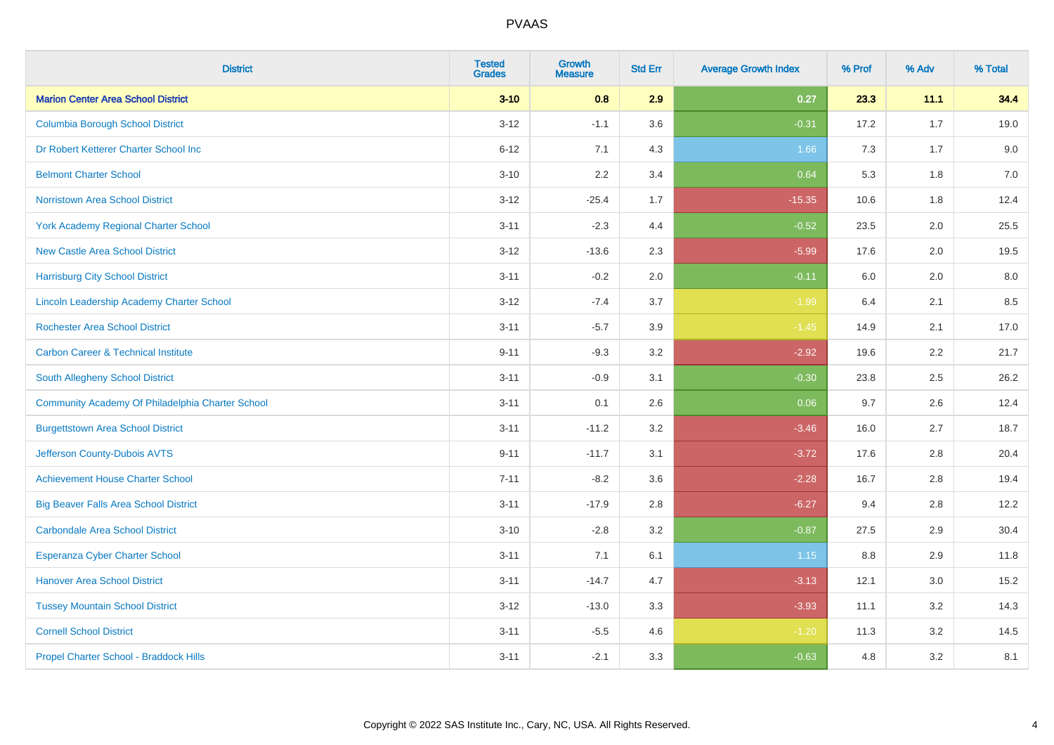| <b>District</b>                                  | <b>Tested</b><br><b>Grades</b> | <b>Growth</b><br><b>Measure</b> | <b>Std Err</b> | <b>Average Growth Index</b> | % Prof | % Adv | % Total |
|--------------------------------------------------|--------------------------------|---------------------------------|----------------|-----------------------------|--------|-------|---------|
| <b>Marion Center Area School District</b>        | $3 - 10$                       | 0.8                             | 2.9            | 0.27                        | 23.3   | 11.1  | 34.4    |
| <b>Columbia Borough School District</b>          | $3 - 12$                       | $-1.1$                          | 3.6            | $-0.31$                     | 17.2   | 1.7   | 19.0    |
| Dr Robert Ketterer Charter School Inc            | $6 - 12$                       | 7.1                             | 4.3            | 1.66                        | 7.3    | 1.7   | 9.0     |
| <b>Belmont Charter School</b>                    | $3 - 10$                       | 2.2                             | 3.4            | 0.64                        | 5.3    | 1.8   | 7.0     |
| Norristown Area School District                  | $3 - 12$                       | $-25.4$                         | 1.7            | $-15.35$                    | 10.6   | 1.8   | 12.4    |
| <b>York Academy Regional Charter School</b>      | $3 - 11$                       | $-2.3$                          | 4.4            | $-0.52$                     | 23.5   | 2.0   | 25.5    |
| <b>New Castle Area School District</b>           | $3 - 12$                       | $-13.6$                         | 2.3            | $-5.99$                     | 17.6   | 2.0   | 19.5    |
| <b>Harrisburg City School District</b>           | $3 - 11$                       | $-0.2$                          | 2.0            | $-0.11$                     | 6.0    | 2.0   | 8.0     |
| Lincoln Leadership Academy Charter School        | $3 - 12$                       | $-7.4$                          | 3.7            | $-1.99$                     | 6.4    | 2.1   | 8.5     |
| <b>Rochester Area School District</b>            | $3 - 11$                       | $-5.7$                          | 3.9            | $-1.45$                     | 14.9   | 2.1   | 17.0    |
| <b>Carbon Career &amp; Technical Institute</b>   | $9 - 11$                       | $-9.3$                          | 3.2            | $-2.92$                     | 19.6   | 2.2   | 21.7    |
| South Allegheny School District                  | $3 - 11$                       | $-0.9$                          | 3.1            | $-0.30$                     | 23.8   | 2.5   | 26.2    |
| Community Academy Of Philadelphia Charter School | $3 - 11$                       | 0.1                             | 2.6            | 0.06                        | 9.7    | 2.6   | 12.4    |
| <b>Burgettstown Area School District</b>         | $3 - 11$                       | $-11.2$                         | 3.2            | $-3.46$                     | 16.0   | 2.7   | 18.7    |
| Jefferson County-Dubois AVTS                     | $9 - 11$                       | $-11.7$                         | 3.1            | $-3.72$                     | 17.6   | 2.8   | 20.4    |
| <b>Achievement House Charter School</b>          | $7 - 11$                       | $-8.2$                          | 3.6            | $-2.28$                     | 16.7   | 2.8   | 19.4    |
| <b>Big Beaver Falls Area School District</b>     | $3 - 11$                       | $-17.9$                         | 2.8            | $-6.27$                     | 9.4    | 2.8   | 12.2    |
| <b>Carbondale Area School District</b>           | $3 - 10$                       | $-2.8$                          | 3.2            | $-0.87$                     | 27.5   | 2.9   | 30.4    |
| <b>Esperanza Cyber Charter School</b>            | $3 - 11$                       | 7.1                             | 6.1            | 1.15                        | 8.8    | 2.9   | 11.8    |
| <b>Hanover Area School District</b>              | $3 - 11$                       | $-14.7$                         | 4.7            | $-3.13$                     | 12.1   | 3.0   | 15.2    |
| <b>Tussey Mountain School District</b>           | $3 - 12$                       | $-13.0$                         | 3.3            | $-3.93$                     | 11.1   | 3.2   | 14.3    |
| <b>Cornell School District</b>                   | $3 - 11$                       | $-5.5$                          | 4.6            | $-1.20$                     | 11.3   | 3.2   | 14.5    |
| Propel Charter School - Braddock Hills           | $3 - 11$                       | $-2.1$                          | 3.3            | $-0.63$                     | 4.8    | 3.2   | 8.1     |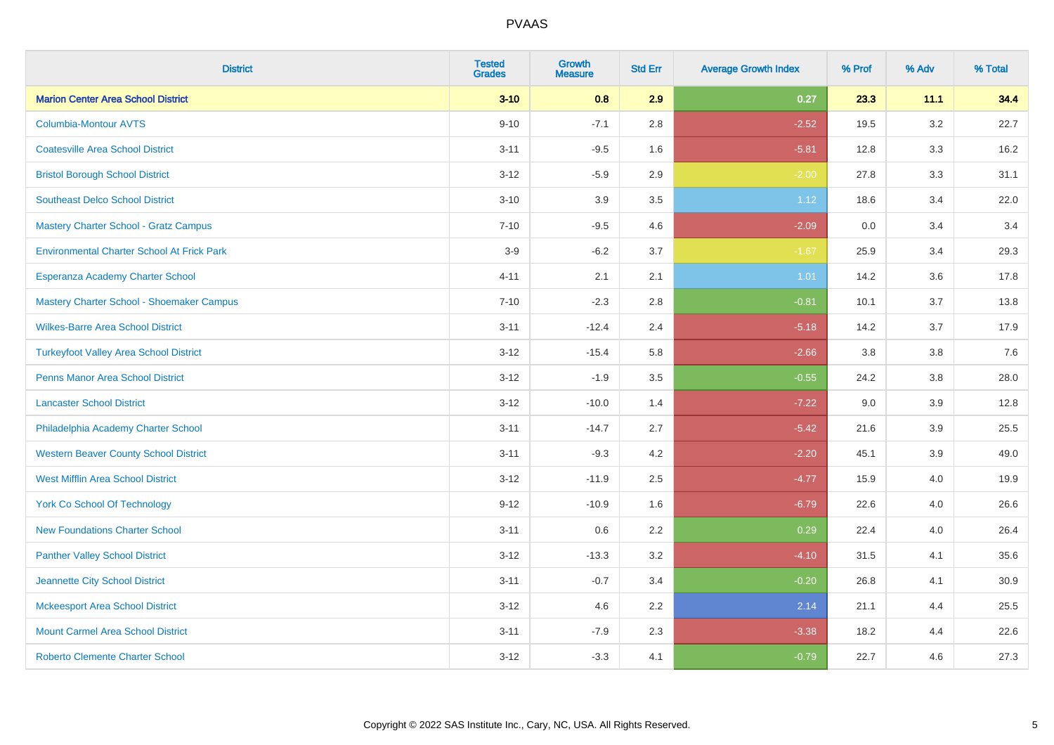| <b>District</b>                                   | <b>Tested</b><br><b>Grades</b> | <b>Growth</b><br><b>Measure</b> | <b>Std Err</b> | <b>Average Growth Index</b> | % Prof | % Adv   | % Total |
|---------------------------------------------------|--------------------------------|---------------------------------|----------------|-----------------------------|--------|---------|---------|
| <b>Marion Center Area School District</b>         | $3 - 10$                       | 0.8                             | 2.9            | 0.27                        | 23.3   | 11.1    | 34.4    |
| <b>Columbia-Montour AVTS</b>                      | $9 - 10$                       | $-7.1$                          | 2.8            | $-2.52$                     | 19.5   | $3.2\,$ | 22.7    |
| <b>Coatesville Area School District</b>           | $3 - 11$                       | $-9.5$                          | 1.6            | $-5.81$                     | 12.8   | 3.3     | 16.2    |
| <b>Bristol Borough School District</b>            | $3 - 12$                       | $-5.9$                          | 2.9            | $-2.00$                     | 27.8   | 3.3     | 31.1    |
| <b>Southeast Delco School District</b>            | $3 - 10$                       | 3.9                             | 3.5            | 1.12                        | 18.6   | 3.4     | 22.0    |
| Mastery Charter School - Gratz Campus             | $7 - 10$                       | $-9.5$                          | 4.6            | $-2.09$                     | 0.0    | 3.4     | 3.4     |
| <b>Environmental Charter School At Frick Park</b> | $3-9$                          | $-6.2$                          | 3.7            | $-1.67$                     | 25.9   | 3.4     | 29.3    |
| Esperanza Academy Charter School                  | $4 - 11$                       | 2.1                             | 2.1            | 1.01                        | 14.2   | 3.6     | 17.8    |
| Mastery Charter School - Shoemaker Campus         | $7 - 10$                       | $-2.3$                          | 2.8            | $-0.81$                     | 10.1   | 3.7     | 13.8    |
| <b>Wilkes-Barre Area School District</b>          | $3 - 11$                       | $-12.4$                         | 2.4            | $-5.18$                     | 14.2   | 3.7     | 17.9    |
| <b>Turkeyfoot Valley Area School District</b>     | $3 - 12$                       | $-15.4$                         | 5.8            | $-2.66$                     | 3.8    | 3.8     | 7.6     |
| <b>Penns Manor Area School District</b>           | $3 - 12$                       | $-1.9$                          | 3.5            | $-0.55$                     | 24.2   | 3.8     | 28.0    |
| <b>Lancaster School District</b>                  | $3 - 12$                       | $-10.0$                         | 1.4            | $-7.22$                     | 9.0    | 3.9     | 12.8    |
| Philadelphia Academy Charter School               | $3 - 11$                       | $-14.7$                         | 2.7            | $-5.42$                     | 21.6   | 3.9     | 25.5    |
| <b>Western Beaver County School District</b>      | $3 - 11$                       | $-9.3$                          | 4.2            | $-2.20$                     | 45.1   | 3.9     | 49.0    |
| <b>West Mifflin Area School District</b>          | $3 - 12$                       | $-11.9$                         | 2.5            | $-4.77$                     | 15.9   | 4.0     | 19.9    |
| <b>York Co School Of Technology</b>               | $9 - 12$                       | $-10.9$                         | 1.6            | $-6.79$                     | 22.6   | 4.0     | 26.6    |
| <b>New Foundations Charter School</b>             | $3 - 11$                       | 0.6                             | 2.2            | 0.29                        | 22.4   | 4.0     | 26.4    |
| <b>Panther Valley School District</b>             | $3 - 12$                       | $-13.3$                         | 3.2            | $-4.10$                     | 31.5   | 4.1     | 35.6    |
| Jeannette City School District                    | $3 - 11$                       | $-0.7$                          | 3.4            | $-0.20$                     | 26.8   | 4.1     | 30.9    |
| <b>Mckeesport Area School District</b>            | $3 - 12$                       | 4.6                             | 2.2            | 2.14                        | 21.1   | 4.4     | 25.5    |
| <b>Mount Carmel Area School District</b>          | $3 - 11$                       | $-7.9$                          | 2.3            | $-3.38$                     | 18.2   | 4.4     | 22.6    |
| <b>Roberto Clemente Charter School</b>            | $3 - 12$                       | $-3.3$                          | 4.1            | $-0.79$                     | 22.7   | 4.6     | 27.3    |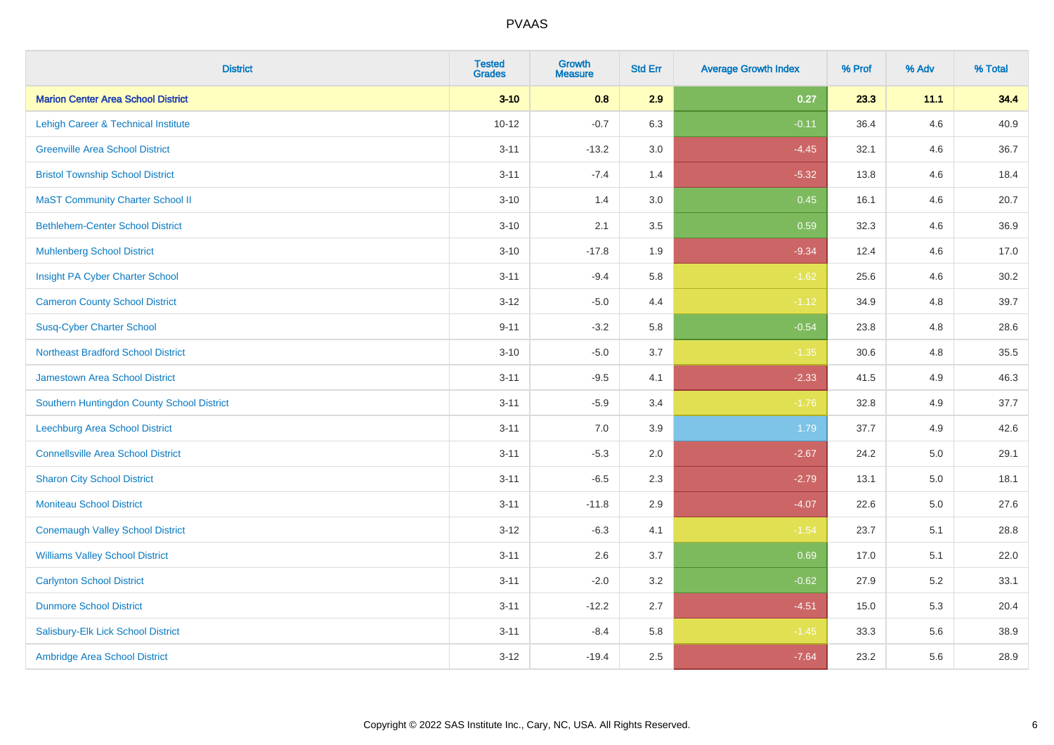| <b>District</b>                            | <b>Tested</b><br><b>Grades</b> | <b>Growth</b><br><b>Measure</b> | <b>Std Err</b> | <b>Average Growth Index</b> | % Prof | % Adv   | % Total |
|--------------------------------------------|--------------------------------|---------------------------------|----------------|-----------------------------|--------|---------|---------|
| <b>Marion Center Area School District</b>  | $3 - 10$                       | 0.8                             | 2.9            | 0.27                        | 23.3   | 11.1    | 34.4    |
| Lehigh Career & Technical Institute        | $10 - 12$                      | $-0.7$                          | 6.3            | $-0.11$                     | 36.4   | 4.6     | 40.9    |
| <b>Greenville Area School District</b>     | $3 - 11$                       | $-13.2$                         | 3.0            | $-4.45$                     | 32.1   | 4.6     | 36.7    |
| <b>Bristol Township School District</b>    | $3 - 11$                       | $-7.4$                          | 1.4            | $-5.32$                     | 13.8   | 4.6     | 18.4    |
| <b>MaST Community Charter School II</b>    | $3 - 10$                       | 1.4                             | 3.0            | 0.45                        | 16.1   | 4.6     | 20.7    |
| <b>Bethlehem-Center School District</b>    | $3 - 10$                       | 2.1                             | 3.5            | 0.59                        | 32.3   | 4.6     | 36.9    |
| <b>Muhlenberg School District</b>          | $3 - 10$                       | $-17.8$                         | 1.9            | $-9.34$                     | 12.4   | 4.6     | 17.0    |
| Insight PA Cyber Charter School            | $3 - 11$                       | $-9.4$                          | 5.8            | $-1.62$                     | 25.6   | 4.6     | 30.2    |
| <b>Cameron County School District</b>      | $3 - 12$                       | $-5.0$                          | 4.4            | $-1.12$                     | 34.9   | 4.8     | 39.7    |
| <b>Susq-Cyber Charter School</b>           | $9 - 11$                       | $-3.2$                          | 5.8            | $-0.54$                     | 23.8   | 4.8     | 28.6    |
| <b>Northeast Bradford School District</b>  | $3 - 10$                       | $-5.0$                          | 3.7            | $-1.35$                     | 30.6   | 4.8     | 35.5    |
| Jamestown Area School District             | $3 - 11$                       | $-9.5$                          | 4.1            | $-2.33$                     | 41.5   | 4.9     | 46.3    |
| Southern Huntingdon County School District | $3 - 11$                       | $-5.9$                          | 3.4            | $-1.76$                     | 32.8   | 4.9     | 37.7    |
| <b>Leechburg Area School District</b>      | $3 - 11$                       | 7.0                             | 3.9            | 1.79                        | 37.7   | 4.9     | 42.6    |
| <b>Connellsville Area School District</b>  | $3 - 11$                       | $-5.3$                          | 2.0            | $-2.67$                     | 24.2   | 5.0     | 29.1    |
| <b>Sharon City School District</b>         | $3 - 11$                       | $-6.5$                          | 2.3            | $-2.79$                     | 13.1   | $5.0\,$ | 18.1    |
| <b>Moniteau School District</b>            | $3 - 11$                       | $-11.8$                         | 2.9            | $-4.07$                     | 22.6   | 5.0     | 27.6    |
| <b>Conemaugh Valley School District</b>    | $3-12$                         | $-6.3$                          | 4.1            | $-1.54$                     | 23.7   | 5.1     | 28.8    |
| <b>Williams Valley School District</b>     | $3 - 11$                       | 2.6                             | 3.7            | 0.69                        | 17.0   | 5.1     | 22.0    |
| <b>Carlynton School District</b>           | $3 - 11$                       | $-2.0$                          | 3.2            | $-0.62$                     | 27.9   | $5.2\,$ | 33.1    |
| <b>Dunmore School District</b>             | $3 - 11$                       | $-12.2$                         | 2.7            | $-4.51$                     | 15.0   | 5.3     | 20.4    |
| Salisbury-Elk Lick School District         | $3 - 11$                       | $-8.4$                          | 5.8            | $-1.45$                     | 33.3   | 5.6     | 38.9    |
| Ambridge Area School District              | $3 - 12$                       | $-19.4$                         | 2.5            | $-7.64$                     | 23.2   | 5.6     | 28.9    |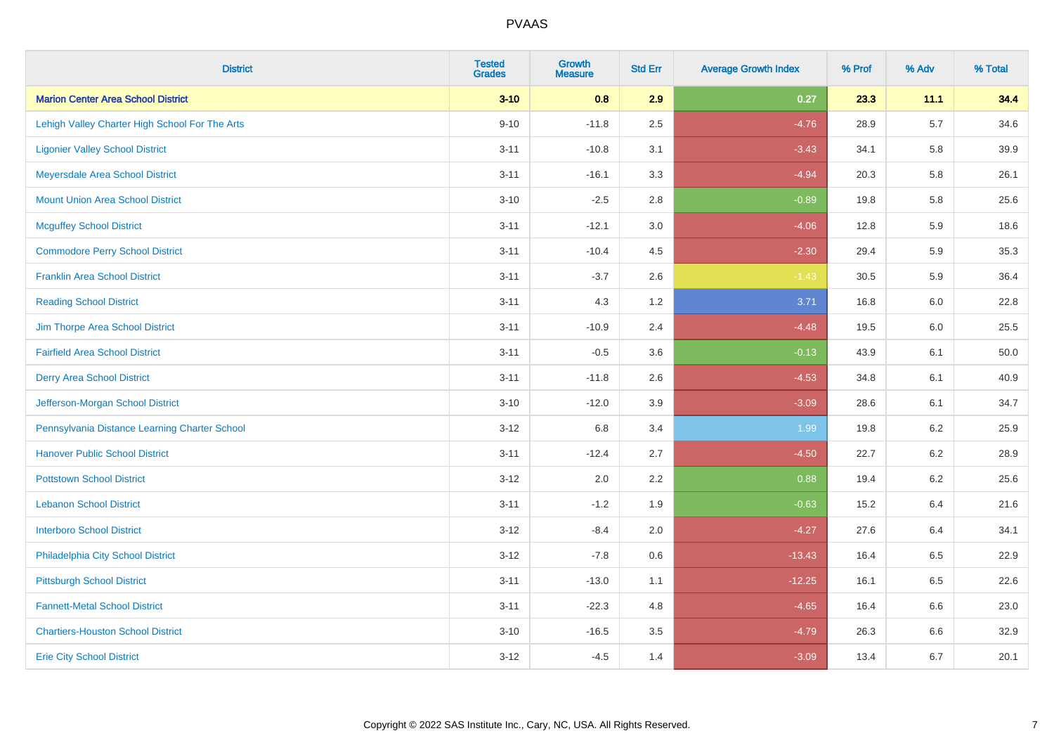| <b>District</b>                                | <b>Tested</b><br><b>Grades</b> | <b>Growth</b><br><b>Measure</b> | <b>Std Err</b> | <b>Average Growth Index</b> | % Prof | % Adv   | % Total |
|------------------------------------------------|--------------------------------|---------------------------------|----------------|-----------------------------|--------|---------|---------|
| <b>Marion Center Area School District</b>      | $3 - 10$                       | 0.8                             | 2.9            | 0.27                        | 23.3   | 11.1    | 34.4    |
| Lehigh Valley Charter High School For The Arts | $9 - 10$                       | $-11.8$                         | 2.5            | $-4.76$                     | 28.9   | $5.7\,$ | 34.6    |
| <b>Ligonier Valley School District</b>         | $3 - 11$                       | $-10.8$                         | 3.1            | $-3.43$                     | 34.1   | 5.8     | 39.9    |
| Meyersdale Area School District                | $3 - 11$                       | $-16.1$                         | 3.3            | $-4.94$                     | 20.3   | 5.8     | 26.1    |
| <b>Mount Union Area School District</b>        | $3 - 10$                       | $-2.5$                          | 2.8            | $-0.89$                     | 19.8   | 5.8     | 25.6    |
| <b>Mcguffey School District</b>                | $3 - 11$                       | $-12.1$                         | 3.0            | $-4.06$                     | 12.8   | 5.9     | 18.6    |
| <b>Commodore Perry School District</b>         | $3 - 11$                       | $-10.4$                         | 4.5            | $-2.30$                     | 29.4   | 5.9     | 35.3    |
| <b>Franklin Area School District</b>           | $3 - 11$                       | $-3.7$                          | 2.6            | $-1.43$                     | 30.5   | 5.9     | 36.4    |
| <b>Reading School District</b>                 | $3 - 11$                       | 4.3                             | 1.2            | 3.71                        | 16.8   | 6.0     | 22.8    |
| Jim Thorpe Area School District                | $3 - 11$                       | $-10.9$                         | 2.4            | $-4.48$                     | 19.5   | 6.0     | 25.5    |
| <b>Fairfield Area School District</b>          | $3 - 11$                       | $-0.5$                          | 3.6            | $-0.13$                     | 43.9   | 6.1     | 50.0    |
| <b>Derry Area School District</b>              | $3 - 11$                       | $-11.8$                         | 2.6            | $-4.53$                     | 34.8   | 6.1     | 40.9    |
| Jefferson-Morgan School District               | $3 - 10$                       | $-12.0$                         | 3.9            | $-3.09$                     | 28.6   | 6.1     | 34.7    |
| Pennsylvania Distance Learning Charter School  | $3 - 12$                       | 6.8                             | 3.4            | 1.99                        | 19.8   | 6.2     | 25.9    |
| <b>Hanover Public School District</b>          | $3 - 11$                       | $-12.4$                         | 2.7            | $-4.50$                     | 22.7   | 6.2     | 28.9    |
| <b>Pottstown School District</b>               | $3 - 12$                       | 2.0                             | 2.2            | 0.88                        | 19.4   | $6.2\,$ | 25.6    |
| <b>Lebanon School District</b>                 | $3 - 11$                       | $-1.2$                          | 1.9            | $-0.63$                     | 15.2   | 6.4     | 21.6    |
| <b>Interboro School District</b>               | $3 - 12$                       | $-8.4$                          | 2.0            | $-4.27$                     | 27.6   | 6.4     | 34.1    |
| Philadelphia City School District              | $3 - 12$                       | $-7.8$                          | 0.6            | $-13.43$                    | 16.4   | 6.5     | 22.9    |
| <b>Pittsburgh School District</b>              | $3 - 11$                       | $-13.0$                         | 1.1            | $-12.25$                    | 16.1   | 6.5     | 22.6    |
| <b>Fannett-Metal School District</b>           | $3 - 11$                       | $-22.3$                         | 4.8            | $-4.65$                     | 16.4   | 6.6     | 23.0    |
| <b>Chartiers-Houston School District</b>       | $3 - 10$                       | $-16.5$                         | 3.5            | $-4.79$                     | 26.3   | 6.6     | 32.9    |
| <b>Erie City School District</b>               | $3 - 12$                       | $-4.5$                          | 1.4            | $-3.09$                     | 13.4   | 6.7     | 20.1    |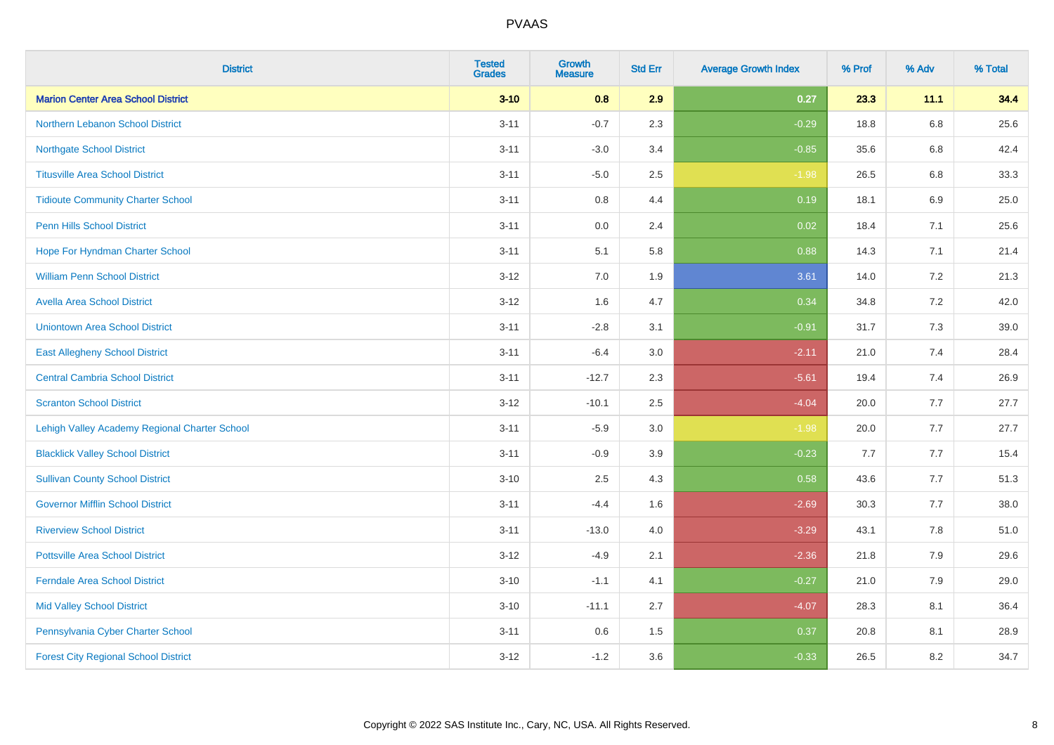| <b>District</b>                               | <b>Tested</b><br><b>Grades</b> | <b>Growth</b><br><b>Measure</b> | <b>Std Err</b> | <b>Average Growth Index</b> | % Prof | % Adv   | % Total |
|-----------------------------------------------|--------------------------------|---------------------------------|----------------|-----------------------------|--------|---------|---------|
| <b>Marion Center Area School District</b>     | $3 - 10$                       | 0.8                             | 2.9            | 0.27                        | 23.3   | 11.1    | 34.4    |
| <b>Northern Lebanon School District</b>       | $3 - 11$                       | $-0.7$                          | 2.3            | $-0.29$                     | 18.8   | $6.8\,$ | 25.6    |
| <b>Northgate School District</b>              | $3 - 11$                       | $-3.0$                          | 3.4            | $-0.85$                     | 35.6   | 6.8     | 42.4    |
| <b>Titusville Area School District</b>        | $3 - 11$                       | $-5.0$                          | 2.5            | $-1.98$                     | 26.5   | 6.8     | 33.3    |
| <b>Tidioute Community Charter School</b>      | $3 - 11$                       | 0.8                             | 4.4            | 0.19                        | 18.1   | 6.9     | 25.0    |
| <b>Penn Hills School District</b>             | $3 - 11$                       | 0.0                             | 2.4            | 0.02                        | 18.4   | 7.1     | 25.6    |
| Hope For Hyndman Charter School               | $3 - 11$                       | 5.1                             | 5.8            | 0.88                        | 14.3   | 7.1     | 21.4    |
| <b>William Penn School District</b>           | $3 - 12$                       | 7.0                             | 1.9            | 3.61                        | 14.0   | 7.2     | 21.3    |
| <b>Avella Area School District</b>            | $3 - 12$                       | 1.6                             | 4.7            | 0.34                        | 34.8   | 7.2     | 42.0    |
| <b>Uniontown Area School District</b>         | $3 - 11$                       | $-2.8$                          | 3.1            | $-0.91$                     | 31.7   | 7.3     | 39.0    |
| <b>East Allegheny School District</b>         | $3 - 11$                       | $-6.4$                          | 3.0            | $-2.11$                     | 21.0   | 7.4     | 28.4    |
| <b>Central Cambria School District</b>        | $3 - 11$                       | $-12.7$                         | 2.3            | $-5.61$                     | 19.4   | 7.4     | 26.9    |
| <b>Scranton School District</b>               | $3 - 12$                       | $-10.1$                         | 2.5            | $-4.04$                     | 20.0   | 7.7     | 27.7    |
| Lehigh Valley Academy Regional Charter School | $3 - 11$                       | $-5.9$                          | 3.0            | $-1.98$                     | 20.0   | 7.7     | 27.7    |
| <b>Blacklick Valley School District</b>       | $3 - 11$                       | $-0.9$                          | 3.9            | $-0.23$                     | 7.7    | 7.7     | 15.4    |
| <b>Sullivan County School District</b>        | $3 - 10$                       | 2.5                             | 4.3            | 0.58                        | 43.6   | 7.7     | 51.3    |
| <b>Governor Mifflin School District</b>       | $3 - 11$                       | $-4.4$                          | 1.6            | $-2.69$                     | 30.3   | 7.7     | 38.0    |
| <b>Riverview School District</b>              | $3 - 11$                       | $-13.0$                         | 4.0            | $-3.29$                     | 43.1   | 7.8     | 51.0    |
| <b>Pottsville Area School District</b>        | $3 - 12$                       | $-4.9$                          | 2.1            | $-2.36$                     | 21.8   | 7.9     | 29.6    |
| <b>Ferndale Area School District</b>          | $3 - 10$                       | $-1.1$                          | 4.1            | $-0.27$                     | 21.0   | 7.9     | 29.0    |
| <b>Mid Valley School District</b>             | $3 - 10$                       | $-11.1$                         | 2.7            | $-4.07$                     | 28.3   | 8.1     | 36.4    |
| Pennsylvania Cyber Charter School             | $3 - 11$                       | 0.6                             | 1.5            | 0.37                        | 20.8   | 8.1     | 28.9    |
| <b>Forest City Regional School District</b>   | $3 - 12$                       | $-1.2$                          | 3.6            | $-0.33$                     | 26.5   | 8.2     | 34.7    |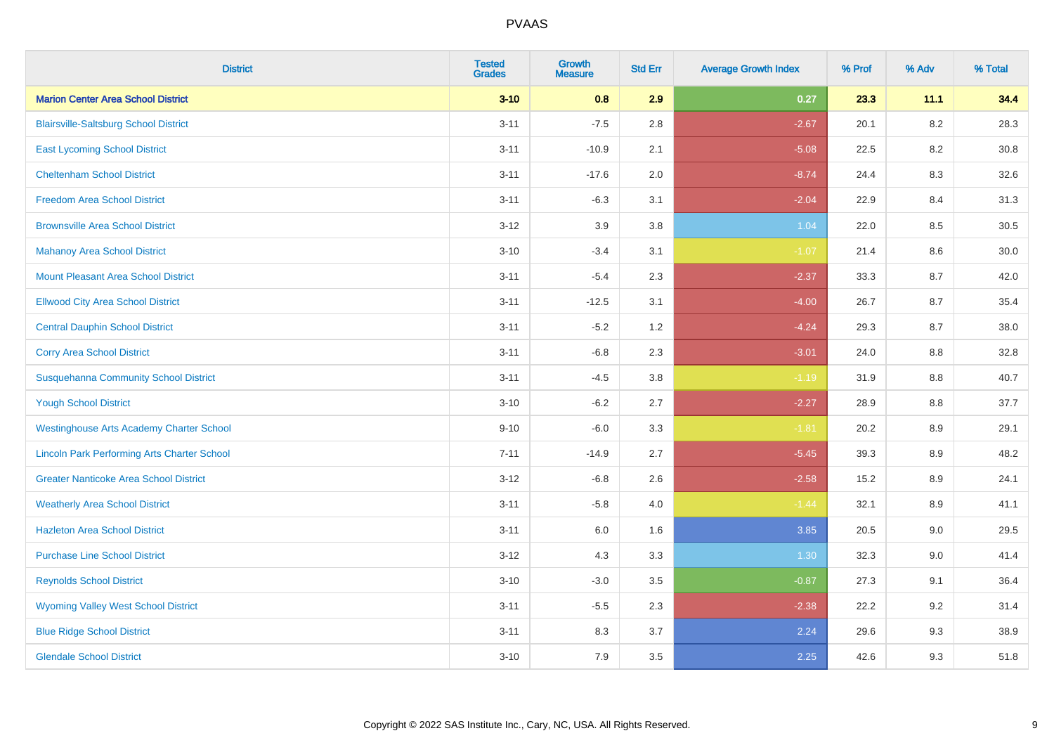| <b>District</b>                                    | <b>Tested</b><br><b>Grades</b> | <b>Growth</b><br><b>Measure</b> | <b>Std Err</b> | <b>Average Growth Index</b> | % Prof | % Adv   | % Total |
|----------------------------------------------------|--------------------------------|---------------------------------|----------------|-----------------------------|--------|---------|---------|
| <b>Marion Center Area School District</b>          | $3 - 10$                       | 0.8                             | 2.9            | 0.27                        | 23.3   | 11.1    | 34.4    |
| <b>Blairsville-Saltsburg School District</b>       | $3 - 11$                       | $-7.5$                          | 2.8            | $-2.67$                     | 20.1   | $8.2\,$ | 28.3    |
| <b>East Lycoming School District</b>               | $3 - 11$                       | $-10.9$                         | 2.1            | $-5.08$                     | 22.5   | 8.2     | 30.8    |
| <b>Cheltenham School District</b>                  | $3 - 11$                       | $-17.6$                         | 2.0            | $-8.74$                     | 24.4   | 8.3     | 32.6    |
| <b>Freedom Area School District</b>                | $3 - 11$                       | $-6.3$                          | 3.1            | $-2.04$                     | 22.9   | 8.4     | 31.3    |
| <b>Brownsville Area School District</b>            | $3 - 12$                       | 3.9                             | 3.8            | 1.04                        | 22.0   | 8.5     | 30.5    |
| <b>Mahanoy Area School District</b>                | $3 - 10$                       | $-3.4$                          | 3.1            | $-1.07$                     | 21.4   | 8.6     | 30.0    |
| <b>Mount Pleasant Area School District</b>         | $3 - 11$                       | $-5.4$                          | 2.3            | $-2.37$                     | 33.3   | 8.7     | 42.0    |
| <b>Ellwood City Area School District</b>           | $3 - 11$                       | $-12.5$                         | 3.1            | $-4.00$                     | 26.7   | 8.7     | 35.4    |
| <b>Central Dauphin School District</b>             | $3 - 11$                       | $-5.2$                          | 1.2            | $-4.24$                     | 29.3   | 8.7     | 38.0    |
| <b>Corry Area School District</b>                  | $3 - 11$                       | $-6.8$                          | 2.3            | $-3.01$                     | 24.0   | 8.8     | 32.8    |
| <b>Susquehanna Community School District</b>       | $3 - 11$                       | $-4.5$                          | 3.8            | $-1.19$                     | 31.9   | 8.8     | 40.7    |
| <b>Yough School District</b>                       | $3 - 10$                       | $-6.2$                          | 2.7            | $-2.27$                     | 28.9   | $8.8\,$ | 37.7    |
| <b>Westinghouse Arts Academy Charter School</b>    | $9 - 10$                       | $-6.0$                          | 3.3            | $-1.81$                     | 20.2   | 8.9     | 29.1    |
| <b>Lincoln Park Performing Arts Charter School</b> | $7 - 11$                       | $-14.9$                         | 2.7            | $-5.45$                     | 39.3   | 8.9     | 48.2    |
| <b>Greater Nanticoke Area School District</b>      | $3 - 12$                       | $-6.8$                          | 2.6            | $-2.58$                     | 15.2   | $8.9\,$ | 24.1    |
| <b>Weatherly Area School District</b>              | $3 - 11$                       | $-5.8$                          | 4.0            | $-1.44$                     | 32.1   | 8.9     | 41.1    |
| <b>Hazleton Area School District</b>               | $3 - 11$                       | 6.0                             | 1.6            | 3.85                        | 20.5   | 9.0     | 29.5    |
| <b>Purchase Line School District</b>               | $3 - 12$                       | 4.3                             | 3.3            | 1.30                        | 32.3   | 9.0     | 41.4    |
| <b>Reynolds School District</b>                    | $3 - 10$                       | $-3.0$                          | 3.5            | $-0.87$                     | 27.3   | 9.1     | 36.4    |
| <b>Wyoming Valley West School District</b>         | $3 - 11$                       | $-5.5$                          | 2.3            | $-2.38$                     | 22.2   | 9.2     | 31.4    |
| <b>Blue Ridge School District</b>                  | $3 - 11$                       | 8.3                             | 3.7            | 2.24                        | 29.6   | 9.3     | 38.9    |
| <b>Glendale School District</b>                    | $3 - 10$                       | 7.9                             | 3.5            | 2.25                        | 42.6   | 9.3     | 51.8    |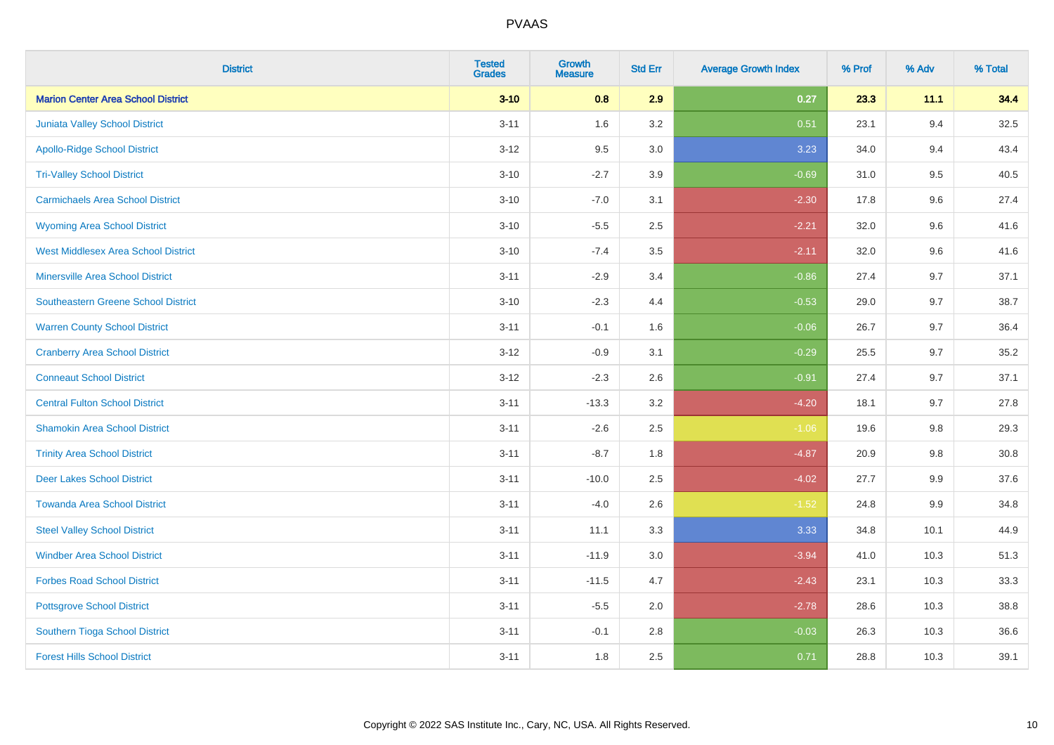| <b>District</b>                            | <b>Tested</b><br><b>Grades</b> | <b>Growth</b><br><b>Measure</b> | <b>Std Err</b> | <b>Average Growth Index</b> | % Prof | % Adv   | % Total  |
|--------------------------------------------|--------------------------------|---------------------------------|----------------|-----------------------------|--------|---------|----------|
| <b>Marion Center Area School District</b>  | $3 - 10$                       | 0.8                             | 2.9            | 0.27                        | 23.3   | 11.1    | 34.4     |
| Juniata Valley School District             | $3 - 11$                       | 1.6                             | 3.2            | 0.51                        | 23.1   | 9.4     | 32.5     |
| <b>Apollo-Ridge School District</b>        | $3 - 12$                       | 9.5                             | 3.0            | 3.23                        | 34.0   | 9.4     | 43.4     |
| <b>Tri-Valley School District</b>          | $3 - 10$                       | $-2.7$                          | 3.9            | $-0.69$                     | 31.0   | 9.5     | 40.5     |
| <b>Carmichaels Area School District</b>    | $3 - 10$                       | $-7.0$                          | 3.1            | $-2.30$                     | 17.8   | 9.6     | 27.4     |
| <b>Wyoming Area School District</b>        | $3 - 10$                       | $-5.5$                          | 2.5            | $-2.21$                     | 32.0   | 9.6     | 41.6     |
| <b>West Middlesex Area School District</b> | $3 - 10$                       | $-7.4$                          | 3.5            | $-2.11$                     | 32.0   | 9.6     | 41.6     |
| <b>Minersville Area School District</b>    | $3 - 11$                       | $-2.9$                          | 3.4            | $-0.86$                     | 27.4   | 9.7     | 37.1     |
| Southeastern Greene School District        | $3 - 10$                       | $-2.3$                          | 4.4            | $-0.53$                     | 29.0   | 9.7     | 38.7     |
| <b>Warren County School District</b>       | $3 - 11$                       | $-0.1$                          | 1.6            | $-0.06$                     | 26.7   | 9.7     | 36.4     |
| <b>Cranberry Area School District</b>      | $3 - 12$                       | $-0.9$                          | 3.1            | $-0.29$                     | 25.5   | 9.7     | 35.2     |
| <b>Conneaut School District</b>            | $3 - 12$                       | $-2.3$                          | 2.6            | $-0.91$                     | 27.4   | 9.7     | 37.1     |
| <b>Central Fulton School District</b>      | $3 - 11$                       | $-13.3$                         | 3.2            | $-4.20$                     | 18.1   | 9.7     | 27.8     |
| <b>Shamokin Area School District</b>       | $3 - 11$                       | $-2.6$                          | 2.5            | $-1.06$                     | 19.6   | 9.8     | 29.3     |
| <b>Trinity Area School District</b>        | $3 - 11$                       | $-8.7$                          | 1.8            | $-4.87$                     | 20.9   | 9.8     | $30.8\,$ |
| <b>Deer Lakes School District</b>          | $3 - 11$                       | $-10.0$                         | 2.5            | $-4.02$                     | 27.7   | 9.9     | 37.6     |
| <b>Towanda Area School District</b>        | $3 - 11$                       | $-4.0$                          | 2.6            | $-1.52$                     | 24.8   | $9.9\,$ | 34.8     |
| <b>Steel Valley School District</b>        | $3 - 11$                       | 11.1                            | 3.3            | 3.33                        | 34.8   | 10.1    | 44.9     |
| <b>Windber Area School District</b>        | $3 - 11$                       | $-11.9$                         | $3.0\,$        | $-3.94$                     | 41.0   | 10.3    | 51.3     |
| <b>Forbes Road School District</b>         | $3 - 11$                       | $-11.5$                         | 4.7            | $-2.43$                     | 23.1   | 10.3    | 33.3     |
| <b>Pottsgrove School District</b>          | $3 - 11$                       | $-5.5$                          | 2.0            | $-2.78$                     | 28.6   | 10.3    | 38.8     |
| Southern Tioga School District             | $3 - 11$                       | $-0.1$                          | 2.8            | $-0.03$                     | 26.3   | 10.3    | 36.6     |
| <b>Forest Hills School District</b>        | $3 - 11$                       | 1.8                             | 2.5            | 0.71                        | 28.8   | 10.3    | 39.1     |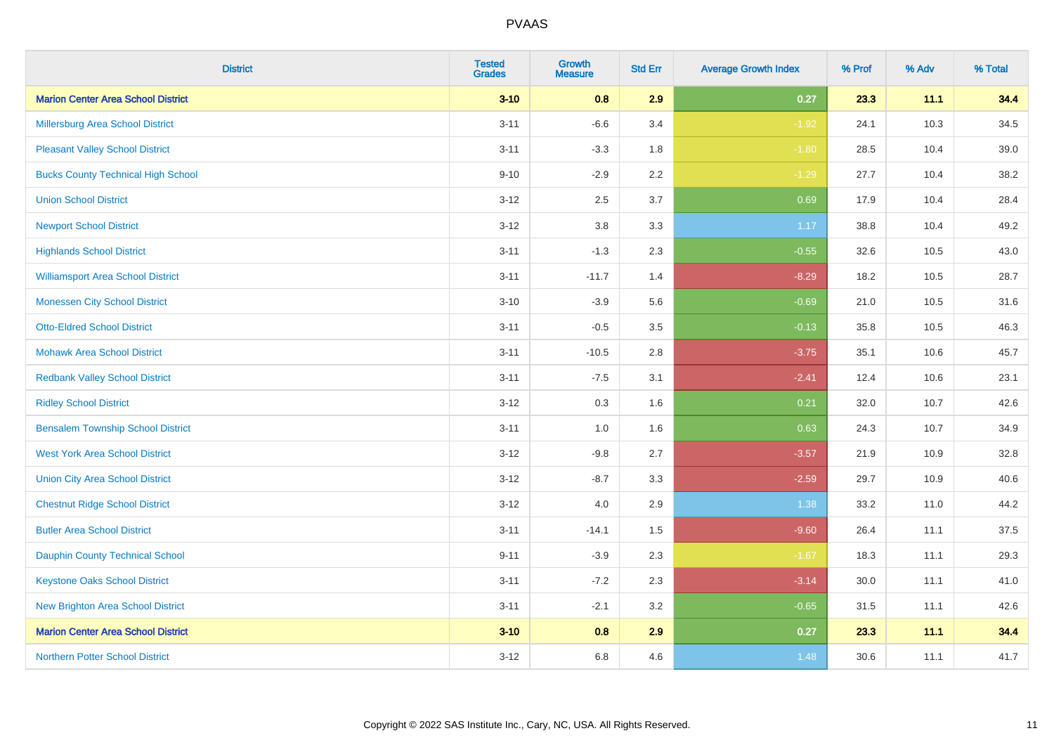| <b>District</b>                           | <b>Tested</b><br><b>Grades</b> | <b>Growth</b><br><b>Measure</b> | <b>Std Err</b> | <b>Average Growth Index</b> | % Prof | % Adv | % Total |
|-------------------------------------------|--------------------------------|---------------------------------|----------------|-----------------------------|--------|-------|---------|
| <b>Marion Center Area School District</b> | $3 - 10$                       | 0.8                             | 2.9            | 0.27                        | 23.3   | 11.1  | 34.4    |
| <b>Millersburg Area School District</b>   | $3 - 11$                       | $-6.6$                          | 3.4            | $-1.92$                     | 24.1   | 10.3  | 34.5    |
| <b>Pleasant Valley School District</b>    | $3 - 11$                       | $-3.3$                          | 1.8            | $-1.80$                     | 28.5   | 10.4  | 39.0    |
| <b>Bucks County Technical High School</b> | $9 - 10$                       | $-2.9$                          | 2.2            | $-1.29$                     | 27.7   | 10.4  | 38.2    |
| <b>Union School District</b>              | $3 - 12$                       | 2.5                             | 3.7            | 0.69                        | 17.9   | 10.4  | 28.4    |
| <b>Newport School District</b>            | $3 - 12$                       | $3.8\,$                         | 3.3            | 1.17                        | 38.8   | 10.4  | 49.2    |
| <b>Highlands School District</b>          | $3 - 11$                       | $-1.3$                          | 2.3            | $-0.55$                     | 32.6   | 10.5  | 43.0    |
| <b>Williamsport Area School District</b>  | $3 - 11$                       | $-11.7$                         | 1.4            | $-8.29$                     | 18.2   | 10.5  | 28.7    |
| <b>Monessen City School District</b>      | $3 - 10$                       | $-3.9$                          | 5.6            | $-0.69$                     | 21.0   | 10.5  | 31.6    |
| <b>Otto-Eldred School District</b>        | $3 - 11$                       | $-0.5$                          | 3.5            | $-0.13$                     | 35.8   | 10.5  | 46.3    |
| <b>Mohawk Area School District</b>        | $3 - 11$                       | $-10.5$                         | 2.8            | $-3.75$                     | 35.1   | 10.6  | 45.7    |
| <b>Redbank Valley School District</b>     | $3 - 11$                       | $-7.5$                          | 3.1            | $-2.41$                     | 12.4   | 10.6  | 23.1    |
| <b>Ridley School District</b>             | $3 - 12$                       | 0.3                             | 1.6            | 0.21                        | 32.0   | 10.7  | 42.6    |
| <b>Bensalem Township School District</b>  | $3 - 11$                       | 1.0                             | 1.6            | 0.63                        | 24.3   | 10.7  | 34.9    |
| <b>West York Area School District</b>     | $3 - 12$                       | $-9.8$                          | 2.7            | $-3.57$                     | 21.9   | 10.9  | 32.8    |
| <b>Union City Area School District</b>    | $3 - 12$                       | $-8.7$                          | 3.3            | $-2.59$                     | 29.7   | 10.9  | 40.6    |
| <b>Chestnut Ridge School District</b>     | $3 - 12$                       | 4.0                             | 2.9            | 1.38                        | 33.2   | 11.0  | 44.2    |
| <b>Butler Area School District</b>        | $3 - 11$                       | $-14.1$                         | 1.5            | $-9.60$                     | 26.4   | 11.1  | 37.5    |
| <b>Dauphin County Technical School</b>    | $9 - 11$                       | $-3.9$                          | 2.3            | $-1.67$                     | 18.3   | 11.1  | 29.3    |
| <b>Keystone Oaks School District</b>      | $3 - 11$                       | $-7.2$                          | 2.3            | $-3.14$                     | 30.0   | 11.1  | 41.0    |
| <b>New Brighton Area School District</b>  | $3 - 11$                       | $-2.1$                          | 3.2            | $-0.65$                     | 31.5   | 11.1  | 42.6    |
| <b>Marion Center Area School District</b> | $3 - 10$                       | 0.8                             | 2.9            | 0.27                        | 23.3   | 11.1  | 34.4    |
| <b>Northern Potter School District</b>    | $3 - 12$                       | $6.8\,$                         | 4.6            | 1.48                        | 30.6   | 11.1  | 41.7    |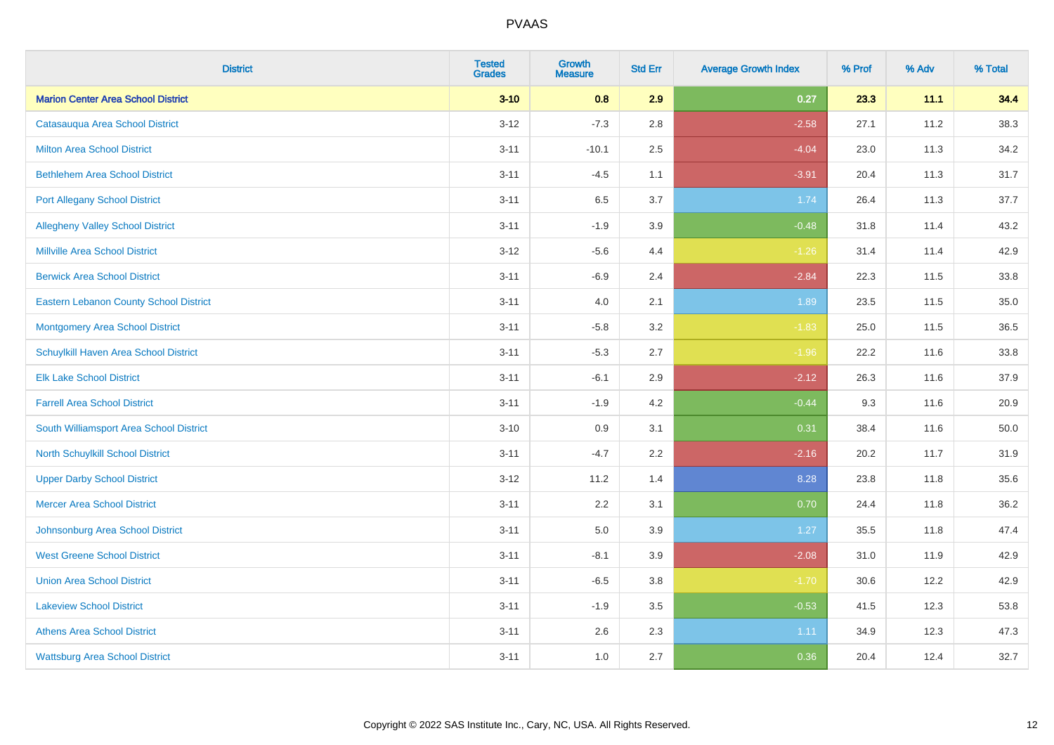| <b>District</b>                               | <b>Tested</b><br><b>Grades</b> | <b>Growth</b><br><b>Measure</b> | <b>Std Err</b> | <b>Average Growth Index</b> | % Prof | % Adv | % Total |
|-----------------------------------------------|--------------------------------|---------------------------------|----------------|-----------------------------|--------|-------|---------|
| <b>Marion Center Area School District</b>     | $3 - 10$                       | 0.8                             | 2.9            | 0.27                        | 23.3   | 11.1  | 34.4    |
| Catasauqua Area School District               | $3 - 12$                       | $-7.3$                          | 2.8            | $-2.58$                     | 27.1   | 11.2  | 38.3    |
| <b>Milton Area School District</b>            | $3 - 11$                       | $-10.1$                         | 2.5            | $-4.04$                     | 23.0   | 11.3  | 34.2    |
| <b>Bethlehem Area School District</b>         | $3 - 11$                       | $-4.5$                          | 1.1            | $-3.91$                     | 20.4   | 11.3  | 31.7    |
| <b>Port Allegany School District</b>          | $3 - 11$                       | 6.5                             | 3.7            | 1.74                        | 26.4   | 11.3  | 37.7    |
| <b>Allegheny Valley School District</b>       | $3 - 11$                       | $-1.9$                          | 3.9            | $-0.48$                     | 31.8   | 11.4  | 43.2    |
| <b>Millville Area School District</b>         | $3 - 12$                       | $-5.6$                          | 4.4            | $-1.26$                     | 31.4   | 11.4  | 42.9    |
| <b>Berwick Area School District</b>           | $3 - 11$                       | $-6.9$                          | 2.4            | $-2.84$                     | 22.3   | 11.5  | 33.8    |
| <b>Eastern Lebanon County School District</b> | $3 - 11$                       | 4.0                             | 2.1            | 1.89                        | 23.5   | 11.5  | 35.0    |
| <b>Montgomery Area School District</b>        | $3 - 11$                       | $-5.8$                          | 3.2            | $-1.83$                     | 25.0   | 11.5  | 36.5    |
| Schuylkill Haven Area School District         | $3 - 11$                       | $-5.3$                          | 2.7            | $-1.96$                     | 22.2   | 11.6  | 33.8    |
| <b>Elk Lake School District</b>               | $3 - 11$                       | $-6.1$                          | 2.9            | $-2.12$                     | 26.3   | 11.6  | 37.9    |
| <b>Farrell Area School District</b>           | $3 - 11$                       | $-1.9$                          | 4.2            | $-0.44$                     | 9.3    | 11.6  | 20.9    |
| South Williamsport Area School District       | $3 - 10$                       | 0.9                             | 3.1            | 0.31                        | 38.4   | 11.6  | 50.0    |
| North Schuylkill School District              | $3 - 11$                       | $-4.7$                          | 2.2            | $-2.16$                     | 20.2   | 11.7  | 31.9    |
| <b>Upper Darby School District</b>            | $3 - 12$                       | 11.2                            | 1.4            | 8.28                        | 23.8   | 11.8  | 35.6    |
| <b>Mercer Area School District</b>            | $3 - 11$                       | 2.2                             | 3.1            | 0.70                        | 24.4   | 11.8  | 36.2    |
| Johnsonburg Area School District              | $3 - 11$                       | 5.0                             | 3.9            | 1.27                        | 35.5   | 11.8  | 47.4    |
| <b>West Greene School District</b>            | $3 - 11$                       | $-8.1$                          | 3.9            | $-2.08$                     | 31.0   | 11.9  | 42.9    |
| <b>Union Area School District</b>             | $3 - 11$                       | $-6.5$                          | 3.8            | $-1.70$                     | 30.6   | 12.2  | 42.9    |
| <b>Lakeview School District</b>               | $3 - 11$                       | $-1.9$                          | 3.5            | $-0.53$                     | 41.5   | 12.3  | 53.8    |
| <b>Athens Area School District</b>            | $3 - 11$                       | 2.6                             | 2.3            | 1.11                        | 34.9   | 12.3  | 47.3    |
| <b>Wattsburg Area School District</b>         | $3 - 11$                       | 1.0                             | 2.7            | 0.36                        | 20.4   | 12.4  | 32.7    |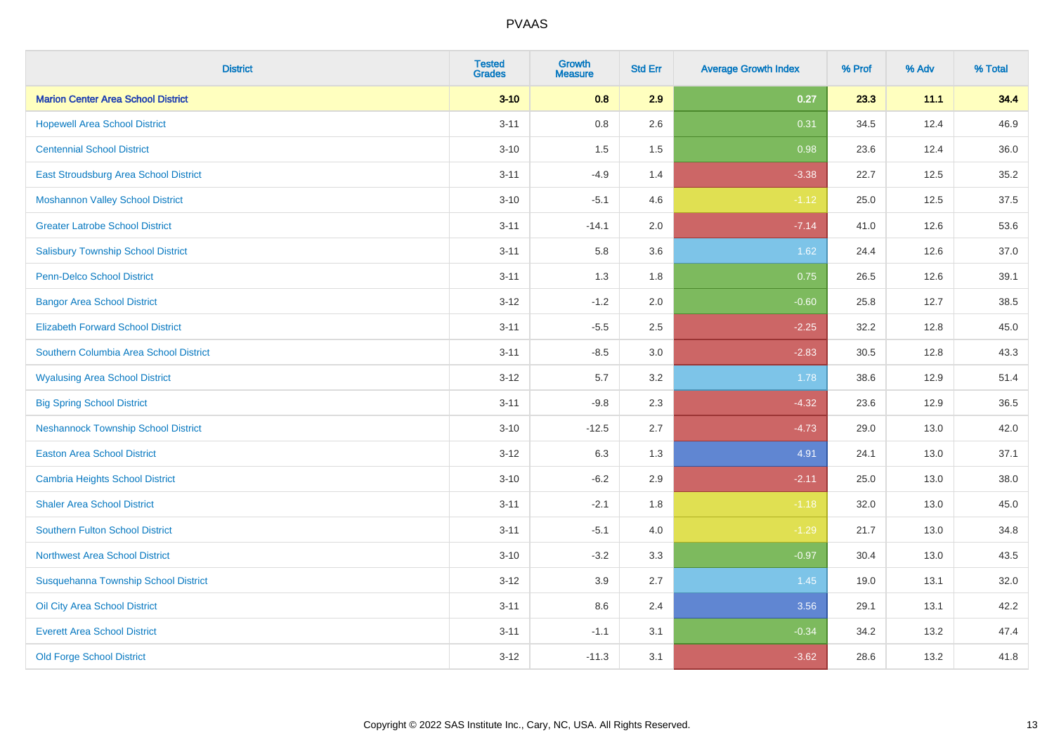| <b>District</b>                            | <b>Tested</b><br><b>Grades</b> | <b>Growth</b><br><b>Measure</b> | <b>Std Err</b> | <b>Average Growth Index</b> | % Prof | % Adv | % Total |
|--------------------------------------------|--------------------------------|---------------------------------|----------------|-----------------------------|--------|-------|---------|
| <b>Marion Center Area School District</b>  | $3 - 10$                       | 0.8                             | 2.9            | 0.27                        | 23.3   | 11.1  | 34.4    |
| <b>Hopewell Area School District</b>       | $3 - 11$                       | $0.8\,$                         | 2.6            | 0.31                        | 34.5   | 12.4  | 46.9    |
| <b>Centennial School District</b>          | $3 - 10$                       | 1.5                             | 1.5            | 0.98                        | 23.6   | 12.4  | 36.0    |
| East Stroudsburg Area School District      | $3 - 11$                       | $-4.9$                          | 1.4            | $-3.38$                     | 22.7   | 12.5  | 35.2    |
| <b>Moshannon Valley School District</b>    | $3 - 10$                       | $-5.1$                          | 4.6            | $-1.12$                     | 25.0   | 12.5  | 37.5    |
| <b>Greater Latrobe School District</b>     | $3 - 11$                       | $-14.1$                         | 2.0            | $-7.14$                     | 41.0   | 12.6  | 53.6    |
| <b>Salisbury Township School District</b>  | $3 - 11$                       | 5.8                             | 3.6            | 1.62                        | 24.4   | 12.6  | 37.0    |
| <b>Penn-Delco School District</b>          | $3 - 11$                       | 1.3                             | 1.8            | 0.75                        | 26.5   | 12.6  | 39.1    |
| <b>Bangor Area School District</b>         | $3 - 12$                       | $-1.2$                          | 2.0            | $-0.60$                     | 25.8   | 12.7  | 38.5    |
| <b>Elizabeth Forward School District</b>   | $3 - 11$                       | $-5.5$                          | 2.5            | $-2.25$                     | 32.2   | 12.8  | 45.0    |
| Southern Columbia Area School District     | $3 - 11$                       | $-8.5$                          | 3.0            | $-2.83$                     | 30.5   | 12.8  | 43.3    |
| <b>Wyalusing Area School District</b>      | $3 - 12$                       | 5.7                             | 3.2            | 1.78                        | 38.6   | 12.9  | 51.4    |
| <b>Big Spring School District</b>          | $3 - 11$                       | $-9.8$                          | 2.3            | $-4.32$                     | 23.6   | 12.9  | 36.5    |
| <b>Neshannock Township School District</b> | $3 - 10$                       | $-12.5$                         | 2.7            | $-4.73$                     | 29.0   | 13.0  | 42.0    |
| <b>Easton Area School District</b>         | $3-12$                         | 6.3                             | 1.3            | 4.91                        | 24.1   | 13.0  | 37.1    |
| <b>Cambria Heights School District</b>     | $3 - 10$                       | $-6.2$                          | 2.9            | $-2.11$                     | 25.0   | 13.0  | 38.0    |
| <b>Shaler Area School District</b>         | $3 - 11$                       | $-2.1$                          | 1.8            | $-1.18$                     | 32.0   | 13.0  | 45.0    |
| <b>Southern Fulton School District</b>     | $3 - 11$                       | $-5.1$                          | 4.0            | $-1.29$                     | 21.7   | 13.0  | 34.8    |
| <b>Northwest Area School District</b>      | $3 - 10$                       | $-3.2$                          | 3.3            | $-0.97$                     | 30.4   | 13.0  | 43.5    |
| Susquehanna Township School District       | $3 - 12$                       | 3.9                             | 2.7            | $1.45$                      | 19.0   | 13.1  | 32.0    |
| Oil City Area School District              | $3 - 11$                       | 8.6                             | 2.4            | 3.56                        | 29.1   | 13.1  | 42.2    |
| <b>Everett Area School District</b>        | $3 - 11$                       | $-1.1$                          | 3.1            | $-0.34$                     | 34.2   | 13.2  | 47.4    |
| <b>Old Forge School District</b>           | $3-12$                         | $-11.3$                         | 3.1            | $-3.62$                     | 28.6   | 13.2  | 41.8    |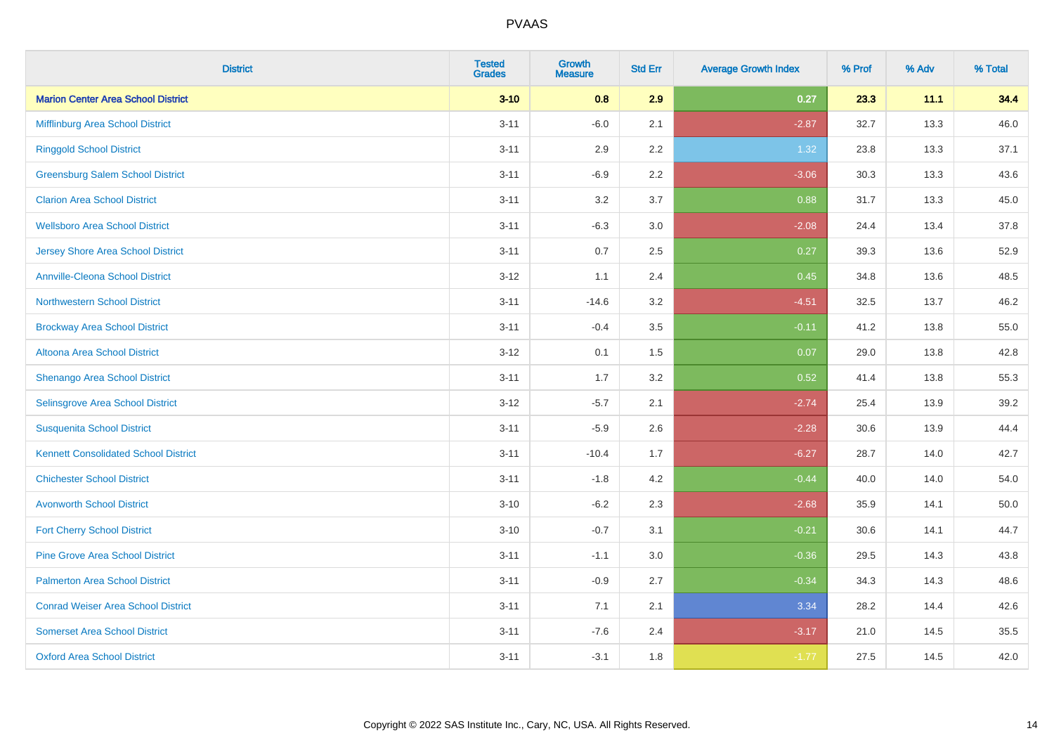| <b>District</b>                             | <b>Tested</b><br><b>Grades</b> | <b>Growth</b><br><b>Measure</b> | <b>Std Err</b> | <b>Average Growth Index</b> | % Prof | % Adv | % Total |
|---------------------------------------------|--------------------------------|---------------------------------|----------------|-----------------------------|--------|-------|---------|
| <b>Marion Center Area School District</b>   | $3 - 10$                       | 0.8                             | 2.9            | 0.27                        | 23.3   | 11.1  | 34.4    |
| Mifflinburg Area School District            | $3 - 11$                       | $-6.0$                          | 2.1            | $-2.87$                     | 32.7   | 13.3  | 46.0    |
| <b>Ringgold School District</b>             | $3 - 11$                       | 2.9                             | 2.2            | 1.32                        | 23.8   | 13.3  | 37.1    |
| <b>Greensburg Salem School District</b>     | $3 - 11$                       | $-6.9$                          | 2.2            | $-3.06$                     | 30.3   | 13.3  | 43.6    |
| <b>Clarion Area School District</b>         | $3 - 11$                       | 3.2                             | 3.7            | 0.88                        | 31.7   | 13.3  | 45.0    |
| <b>Wellsboro Area School District</b>       | $3 - 11$                       | $-6.3$                          | 3.0            | $-2.08$                     | 24.4   | 13.4  | 37.8    |
| <b>Jersey Shore Area School District</b>    | $3 - 11$                       | 0.7                             | 2.5            | 0.27                        | 39.3   | 13.6  | 52.9    |
| <b>Annville-Cleona School District</b>      | $3 - 12$                       | 1.1                             | 2.4            | 0.45                        | 34.8   | 13.6  | 48.5    |
| <b>Northwestern School District</b>         | $3 - 11$                       | $-14.6$                         | 3.2            | $-4.51$                     | 32.5   | 13.7  | 46.2    |
| <b>Brockway Area School District</b>        | $3 - 11$                       | $-0.4$                          | 3.5            | $-0.11$                     | 41.2   | 13.8  | 55.0    |
| Altoona Area School District                | $3 - 12$                       | 0.1                             | 1.5            | 0.07                        | 29.0   | 13.8  | 42.8    |
| Shenango Area School District               | $3 - 11$                       | 1.7                             | 3.2            | 0.52                        | 41.4   | 13.8  | 55.3    |
| Selinsgrove Area School District            | $3 - 12$                       | $-5.7$                          | 2.1            | $-2.74$                     | 25.4   | 13.9  | 39.2    |
| <b>Susquenita School District</b>           | $3 - 11$                       | $-5.9$                          | 2.6            | $-2.28$                     | 30.6   | 13.9  | 44.4    |
| <b>Kennett Consolidated School District</b> | $3 - 11$                       | $-10.4$                         | 1.7            | $-6.27$                     | 28.7   | 14.0  | 42.7    |
| <b>Chichester School District</b>           | $3 - 11$                       | $-1.8$                          | 4.2            | $-0.44$                     | 40.0   | 14.0  | 54.0    |
| <b>Avonworth School District</b>            | $3 - 10$                       | $-6.2$                          | 2.3            | $-2.68$                     | 35.9   | 14.1  | 50.0    |
| <b>Fort Cherry School District</b>          | $3 - 10$                       | $-0.7$                          | 3.1            | $-0.21$                     | 30.6   | 14.1  | 44.7    |
| <b>Pine Grove Area School District</b>      | $3 - 11$                       | $-1.1$                          | 3.0            | $-0.36$                     | 29.5   | 14.3  | 43.8    |
| <b>Palmerton Area School District</b>       | $3 - 11$                       | $-0.9$                          | 2.7            | $-0.34$                     | 34.3   | 14.3  | 48.6    |
| <b>Conrad Weiser Area School District</b>   | $3 - 11$                       | 7.1                             | 2.1            | 3.34                        | 28.2   | 14.4  | 42.6    |
| <b>Somerset Area School District</b>        | $3 - 11$                       | $-7.6$                          | 2.4            | $-3.17$                     | 21.0   | 14.5  | 35.5    |
| <b>Oxford Area School District</b>          | $3 - 11$                       | $-3.1$                          | 1.8            | $-1.77$                     | 27.5   | 14.5  | 42.0    |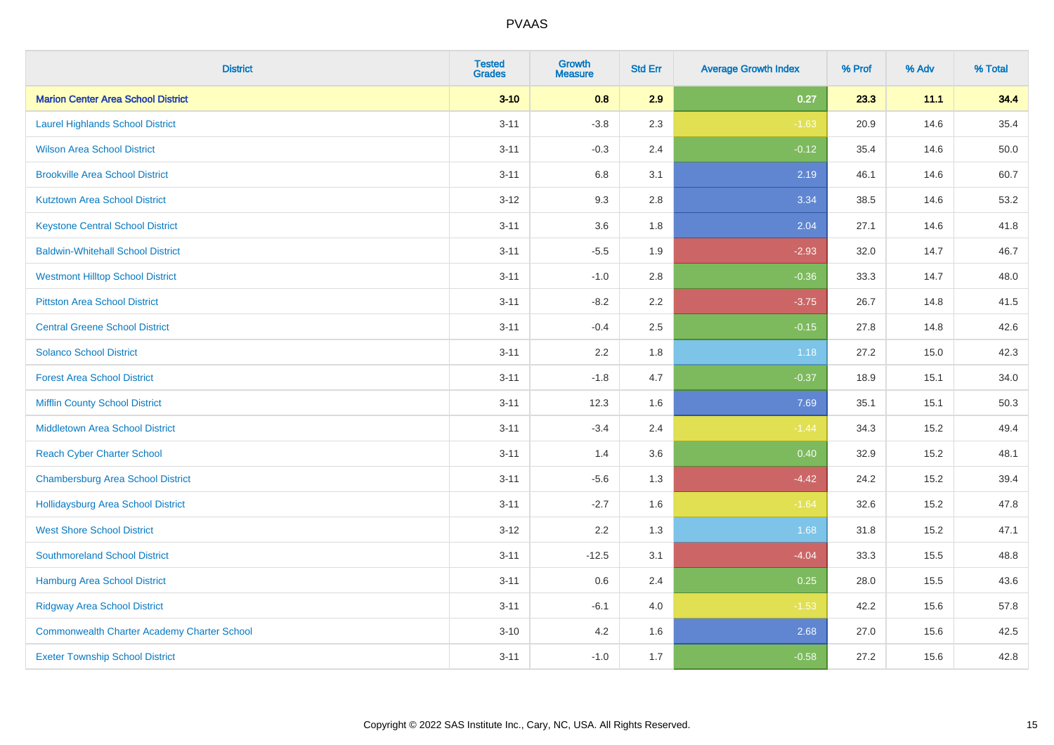| <b>District</b>                                    | <b>Tested</b><br><b>Grades</b> | <b>Growth</b><br><b>Measure</b> | <b>Std Err</b> | <b>Average Growth Index</b> | % Prof | % Adv | % Total |
|----------------------------------------------------|--------------------------------|---------------------------------|----------------|-----------------------------|--------|-------|---------|
| <b>Marion Center Area School District</b>          | $3 - 10$                       | 0.8                             | 2.9            | 0.27                        | 23.3   | 11.1  | 34.4    |
| <b>Laurel Highlands School District</b>            | $3 - 11$                       | $-3.8$                          | 2.3            | $-1.63$                     | 20.9   | 14.6  | 35.4    |
| <b>Wilson Area School District</b>                 | $3 - 11$                       | $-0.3$                          | 2.4            | $-0.12$                     | 35.4   | 14.6  | 50.0    |
| <b>Brookville Area School District</b>             | $3 - 11$                       | $6.8\,$                         | 3.1            | 2.19                        | 46.1   | 14.6  | 60.7    |
| <b>Kutztown Area School District</b>               | $3-12$                         | 9.3                             | 2.8            | 3.34                        | 38.5   | 14.6  | 53.2    |
| <b>Keystone Central School District</b>            | $3 - 11$                       | 3.6                             | 1.8            | 2.04                        | 27.1   | 14.6  | 41.8    |
| <b>Baldwin-Whitehall School District</b>           | $3 - 11$                       | $-5.5$                          | 1.9            | $-2.93$                     | 32.0   | 14.7  | 46.7    |
| <b>Westmont Hilltop School District</b>            | $3 - 11$                       | $-1.0$                          | 2.8            | $-0.36$                     | 33.3   | 14.7  | 48.0    |
| <b>Pittston Area School District</b>               | $3 - 11$                       | $-8.2$                          | 2.2            | $-3.75$                     | 26.7   | 14.8  | 41.5    |
| <b>Central Greene School District</b>              | $3 - 11$                       | $-0.4$                          | 2.5            | $-0.15$                     | 27.8   | 14.8  | 42.6    |
| <b>Solanco School District</b>                     | $3 - 11$                       | 2.2                             | 1.8            | 1.18                        | 27.2   | 15.0  | 42.3    |
| <b>Forest Area School District</b>                 | $3 - 11$                       | $-1.8$                          | 4.7            | $-0.37$                     | 18.9   | 15.1  | 34.0    |
| <b>Mifflin County School District</b>              | $3 - 11$                       | 12.3                            | 1.6            | 7.69                        | 35.1   | 15.1  | 50.3    |
| <b>Middletown Area School District</b>             | $3 - 11$                       | $-3.4$                          | 2.4            | $-1.44$                     | 34.3   | 15.2  | 49.4    |
| <b>Reach Cyber Charter School</b>                  | $3 - 11$                       | 1.4                             | 3.6            | 0.40                        | 32.9   | 15.2  | 48.1    |
| <b>Chambersburg Area School District</b>           | $3 - 11$                       | $-5.6$                          | 1.3            | $-4.42$                     | 24.2   | 15.2  | 39.4    |
| Hollidaysburg Area School District                 | $3 - 11$                       | $-2.7$                          | 1.6            | $-1.64$                     | 32.6   | 15.2  | 47.8    |
| <b>West Shore School District</b>                  | $3-12$                         | 2.2                             | 1.3            | 1.68                        | 31.8   | 15.2  | 47.1    |
| <b>Southmoreland School District</b>               | $3 - 11$                       | $-12.5$                         | 3.1            | $-4.04$                     | 33.3   | 15.5  | 48.8    |
| <b>Hamburg Area School District</b>                | $3 - 11$                       | 0.6                             | 2.4            | 0.25                        | 28.0   | 15.5  | 43.6    |
| <b>Ridgway Area School District</b>                | $3 - 11$                       | $-6.1$                          | 4.0            | $-1.53$                     | 42.2   | 15.6  | 57.8    |
| <b>Commonwealth Charter Academy Charter School</b> | $3 - 10$                       | 4.2                             | 1.6            | 2.68                        | 27.0   | 15.6  | 42.5    |
| <b>Exeter Township School District</b>             | $3 - 11$                       | $-1.0$                          | 1.7            | $-0.58$                     | 27.2   | 15.6  | 42.8    |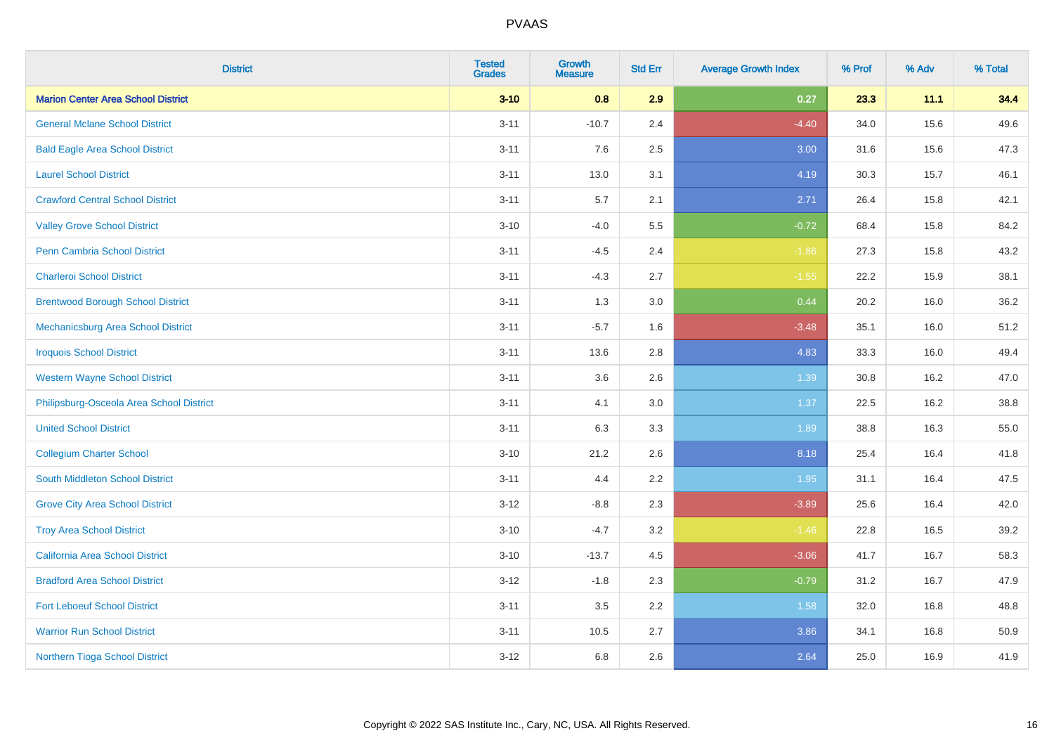| <b>District</b>                           | <b>Tested</b><br><b>Grades</b> | <b>Growth</b><br><b>Measure</b> | <b>Std Err</b> | <b>Average Growth Index</b> | % Prof | % Adv | % Total |
|-------------------------------------------|--------------------------------|---------------------------------|----------------|-----------------------------|--------|-------|---------|
| <b>Marion Center Area School District</b> | $3 - 10$                       | 0.8                             | 2.9            | 0.27                        | 23.3   | 11.1  | 34.4    |
| <b>General Mclane School District</b>     | $3 - 11$                       | $-10.7$                         | 2.4            | $-4.40$                     | 34.0   | 15.6  | 49.6    |
| <b>Bald Eagle Area School District</b>    | $3 - 11$                       | 7.6                             | 2.5            | 3.00                        | 31.6   | 15.6  | 47.3    |
| <b>Laurel School District</b>             | $3 - 11$                       | 13.0                            | 3.1            | 4.19                        | 30.3   | 15.7  | 46.1    |
| <b>Crawford Central School District</b>   | $3 - 11$                       | 5.7                             | 2.1            | 2.71                        | 26.4   | 15.8  | 42.1    |
| <b>Valley Grove School District</b>       | $3 - 10$                       | $-4.0$                          | 5.5            | $-0.72$                     | 68.4   | 15.8  | 84.2    |
| Penn Cambria School District              | $3 - 11$                       | $-4.5$                          | 2.4            | $-1.86$                     | 27.3   | 15.8  | 43.2    |
| <b>Charleroi School District</b>          | $3 - 11$                       | $-4.3$                          | 2.7            | $-1.55$                     | 22.2   | 15.9  | 38.1    |
| <b>Brentwood Borough School District</b>  | $3 - 11$                       | 1.3                             | 3.0            | 0.44                        | 20.2   | 16.0  | 36.2    |
| Mechanicsburg Area School District        | $3 - 11$                       | $-5.7$                          | 1.6            | $-3.48$                     | 35.1   | 16.0  | 51.2    |
| <b>Iroquois School District</b>           | $3 - 11$                       | 13.6                            | 2.8            | 4.83                        | 33.3   | 16.0  | 49.4    |
| <b>Western Wayne School District</b>      | $3 - 11$                       | 3.6                             | 2.6            | 1.39                        | 30.8   | 16.2  | 47.0    |
| Philipsburg-Osceola Area School District  | $3 - 11$                       | 4.1                             | 3.0            | 1.37                        | 22.5   | 16.2  | 38.8    |
| <b>United School District</b>             | $3 - 11$                       | 6.3                             | 3.3            | 1.89                        | 38.8   | 16.3  | 55.0    |
| <b>Collegium Charter School</b>           | $3 - 10$                       | 21.2                            | 2.6            | 8.18                        | 25.4   | 16.4  | 41.8    |
| South Middleton School District           | $3 - 11$                       | 4.4                             | 2.2            | 1.95                        | 31.1   | 16.4  | 47.5    |
| <b>Grove City Area School District</b>    | $3 - 12$                       | $-8.8$                          | 2.3            | $-3.89$                     | 25.6   | 16.4  | 42.0    |
| <b>Troy Area School District</b>          | $3 - 10$                       | $-4.7$                          | 3.2            | $-1.46$                     | 22.8   | 16.5  | 39.2    |
| <b>California Area School District</b>    | $3 - 10$                       | $-13.7$                         | 4.5            | $-3.06$                     | 41.7   | 16.7  | 58.3    |
| <b>Bradford Area School District</b>      | $3 - 12$                       | $-1.8$                          | 2.3            | $-0.79$                     | 31.2   | 16.7  | 47.9    |
| <b>Fort Leboeuf School District</b>       | $3 - 11$                       | $3.5\,$                         | 2.2            | 1.58                        | 32.0   | 16.8  | 48.8    |
| <b>Warrior Run School District</b>        | $3 - 11$                       | 10.5                            | 2.7            | 3.86                        | 34.1   | 16.8  | 50.9    |
| Northern Tioga School District            | $3 - 12$                       | $6.8\,$                         | 2.6            | 2.64                        | 25.0   | 16.9  | 41.9    |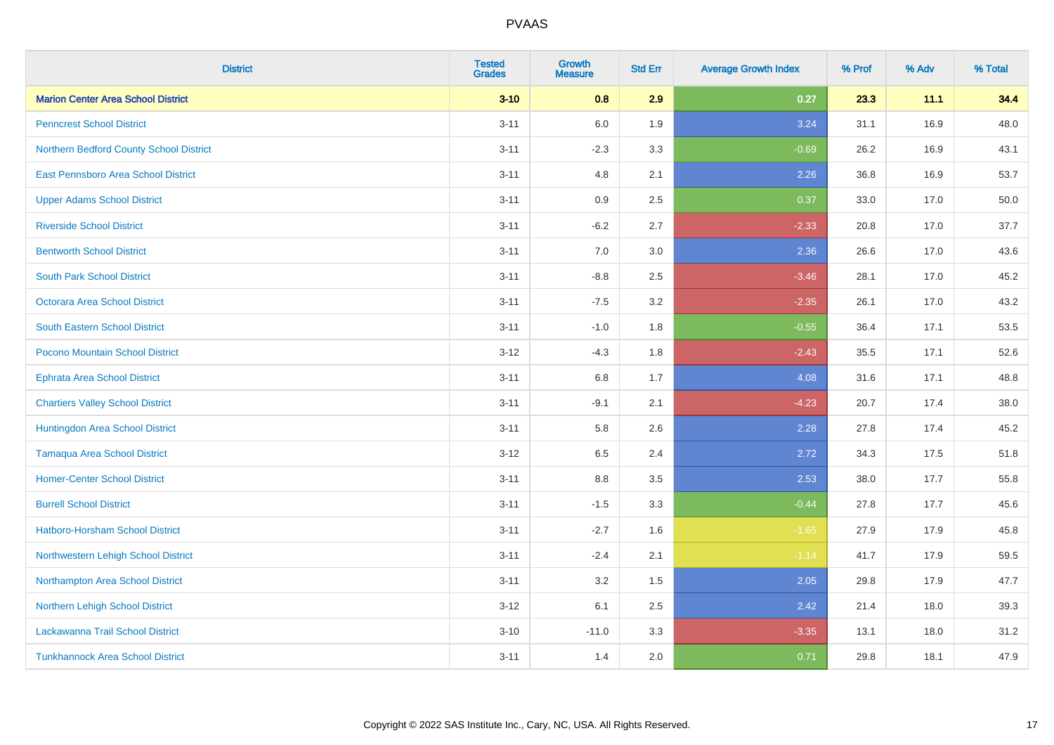| <b>District</b>                           | <b>Tested</b><br><b>Grades</b> | <b>Growth</b><br><b>Measure</b> | <b>Std Err</b> | <b>Average Growth Index</b> | % Prof | % Adv | % Total |
|-------------------------------------------|--------------------------------|---------------------------------|----------------|-----------------------------|--------|-------|---------|
| <b>Marion Center Area School District</b> | $3 - 10$                       | 0.8                             | 2.9            | 0.27                        | 23.3   | 11.1  | 34.4    |
| <b>Penncrest School District</b>          | $3 - 11$                       | 6.0                             | 1.9            | 3.24                        | 31.1   | 16.9  | 48.0    |
| Northern Bedford County School District   | $3 - 11$                       | $-2.3$                          | 3.3            | $-0.69$                     | 26.2   | 16.9  | 43.1    |
| East Pennsboro Area School District       | $3 - 11$                       | 4.8                             | 2.1            | 2.26                        | 36.8   | 16.9  | 53.7    |
| <b>Upper Adams School District</b>        | $3 - 11$                       | 0.9                             | 2.5            | 0.37                        | 33.0   | 17.0  | 50.0    |
| <b>Riverside School District</b>          | $3 - 11$                       | $-6.2$                          | 2.7            | $-2.33$                     | 20.8   | 17.0  | 37.7    |
| <b>Bentworth School District</b>          | $3 - 11$                       | 7.0                             | 3.0            | 2.36                        | 26.6   | 17.0  | 43.6    |
| <b>South Park School District</b>         | $3 - 11$                       | $-8.8$                          | 2.5            | $-3.46$                     | 28.1   | 17.0  | 45.2    |
| Octorara Area School District             | $3 - 11$                       | $-7.5$                          | 3.2            | $-2.35$                     | 26.1   | 17.0  | 43.2    |
| <b>South Eastern School District</b>      | $3 - 11$                       | $-1.0$                          | 1.8            | $-0.55$                     | 36.4   | 17.1  | 53.5    |
| Pocono Mountain School District           | $3 - 12$                       | $-4.3$                          | 1.8            | $-2.43$                     | 35.5   | 17.1  | 52.6    |
| <b>Ephrata Area School District</b>       | $3 - 11$                       | 6.8                             | 1.7            | 4.08                        | 31.6   | 17.1  | 48.8    |
| <b>Chartiers Valley School District</b>   | $3 - 11$                       | $-9.1$                          | 2.1            | $-4.23$                     | 20.7   | 17.4  | 38.0    |
| Huntingdon Area School District           | $3 - 11$                       | 5.8                             | 2.6            | 2.28                        | 27.8   | 17.4  | 45.2    |
| <b>Tamaqua Area School District</b>       | $3 - 12$                       | 6.5                             | 2.4            | 2.72                        | 34.3   | 17.5  | 51.8    |
| <b>Homer-Center School District</b>       | $3 - 11$                       | 8.8                             | 3.5            | 2.53                        | 38.0   | 17.7  | 55.8    |
| <b>Burrell School District</b>            | $3 - 11$                       | $-1.5$                          | 3.3            | $-0.44$                     | 27.8   | 17.7  | 45.6    |
| Hatboro-Horsham School District           | $3 - 11$                       | $-2.7$                          | 1.6            | $-1.65$                     | 27.9   | 17.9  | 45.8    |
| Northwestern Lehigh School District       | $3 - 11$                       | $-2.4$                          | 2.1            | $-1.14$                     | 41.7   | 17.9  | 59.5    |
| Northampton Area School District          | $3 - 11$                       | 3.2                             | 1.5            | 2.05                        | 29.8   | 17.9  | 47.7    |
| Northern Lehigh School District           | $3 - 12$                       | 6.1                             | 2.5            | 2.42                        | 21.4   | 18.0  | 39.3    |
| Lackawanna Trail School District          | $3 - 10$                       | $-11.0$                         | 3.3            | $-3.35$                     | 13.1   | 18.0  | 31.2    |
| <b>Tunkhannock Area School District</b>   | $3 - 11$                       | 1.4                             | 2.0            | 0.71                        | 29.8   | 18.1  | 47.9    |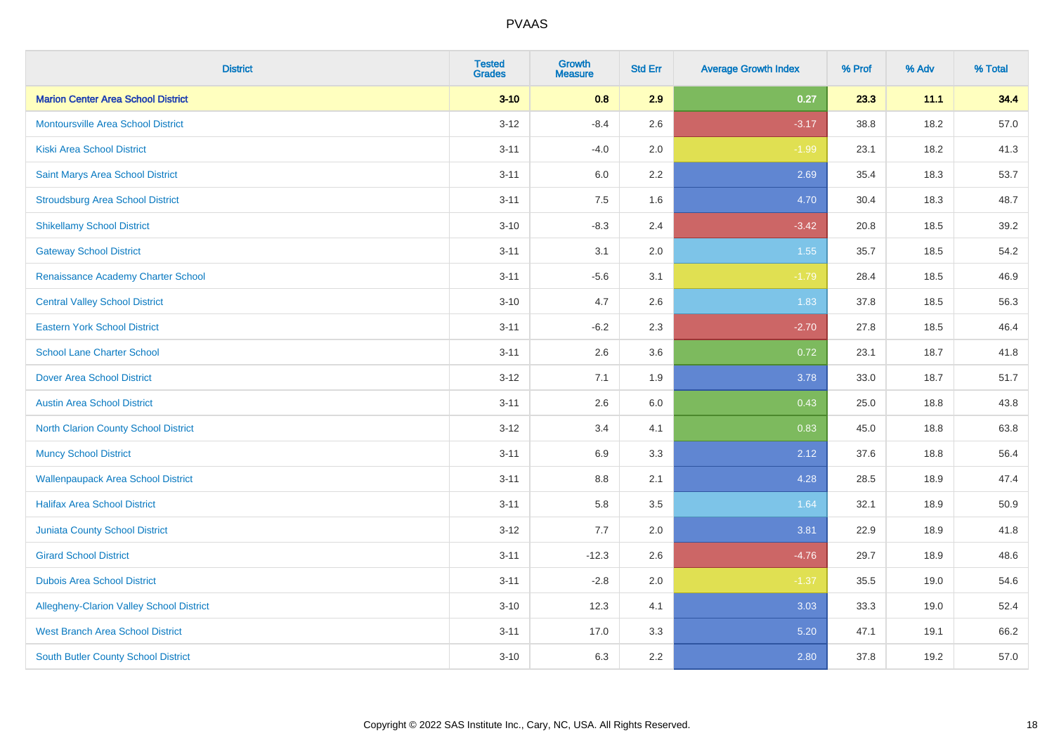| <b>District</b>                             | <b>Tested</b><br><b>Grades</b> | <b>Growth</b><br><b>Measure</b> | <b>Std Err</b> | <b>Average Growth Index</b> | % Prof | % Adv | % Total |
|---------------------------------------------|--------------------------------|---------------------------------|----------------|-----------------------------|--------|-------|---------|
| <b>Marion Center Area School District</b>   | $3 - 10$                       | 0.8                             | 2.9            | 0.27                        | 23.3   | 11.1  | 34.4    |
| <b>Montoursville Area School District</b>   | $3 - 12$                       | $-8.4$                          | 2.6            | $-3.17$                     | 38.8   | 18.2  | 57.0    |
| <b>Kiski Area School District</b>           | $3 - 11$                       | $-4.0$                          | 2.0            | $-1.99$                     | 23.1   | 18.2  | 41.3    |
| Saint Marys Area School District            | $3 - 11$                       | 6.0                             | 2.2            | 2.69                        | 35.4   | 18.3  | 53.7    |
| <b>Stroudsburg Area School District</b>     | $3 - 11$                       | 7.5                             | 1.6            | 4.70                        | 30.4   | 18.3  | 48.7    |
| <b>Shikellamy School District</b>           | $3 - 10$                       | $-8.3$                          | 2.4            | $-3.42$                     | 20.8   | 18.5  | 39.2    |
| <b>Gateway School District</b>              | $3 - 11$                       | 3.1                             | 2.0            | $1.55$                      | 35.7   | 18.5  | 54.2    |
| Renaissance Academy Charter School          | $3 - 11$                       | $-5.6$                          | 3.1            | $-1.79$                     | 28.4   | 18.5  | 46.9    |
| <b>Central Valley School District</b>       | $3 - 10$                       | 4.7                             | 2.6            | 1.83                        | 37.8   | 18.5  | 56.3    |
| <b>Eastern York School District</b>         | $3 - 11$                       | $-6.2$                          | 2.3            | $-2.70$                     | 27.8   | 18.5  | 46.4    |
| <b>School Lane Charter School</b>           | $3 - 11$                       | 2.6                             | 3.6            | 0.72                        | 23.1   | 18.7  | 41.8    |
| <b>Dover Area School District</b>           | $3 - 12$                       | 7.1                             | 1.9            | 3.78                        | 33.0   | 18.7  | 51.7    |
| <b>Austin Area School District</b>          | $3 - 11$                       | 2.6                             | 6.0            | 0.43                        | 25.0   | 18.8  | 43.8    |
| <b>North Clarion County School District</b> | $3-12$                         | 3.4                             | 4.1            | 0.83                        | 45.0   | 18.8  | 63.8    |
| <b>Muncy School District</b>                | $3 - 11$                       | 6.9                             | 3.3            | 2.12                        | 37.6   | 18.8  | 56.4    |
| <b>Wallenpaupack Area School District</b>   | $3 - 11$                       | 8.8                             | 2.1            | 4.28                        | 28.5   | 18.9  | 47.4    |
| <b>Halifax Area School District</b>         | $3 - 11$                       | 5.8                             | 3.5            | 1.64                        | 32.1   | 18.9  | 50.9    |
| <b>Juniata County School District</b>       | $3 - 12$                       | 7.7                             | 2.0            | 3.81                        | 22.9   | 18.9  | 41.8    |
| <b>Girard School District</b>               | $3 - 11$                       | $-12.3$                         | 2.6            | $-4.76$                     | 29.7   | 18.9  | 48.6    |
| <b>Dubois Area School District</b>          | $3 - 11$                       | $-2.8$                          | 2.0            | $-1.37$                     | 35.5   | 19.0  | 54.6    |
| Allegheny-Clarion Valley School District    | $3 - 10$                       | 12.3                            | 4.1            | 3.03                        | 33.3   | 19.0  | 52.4    |
| <b>West Branch Area School District</b>     | $3 - 11$                       | 17.0                            | 3.3            | 5.20                        | 47.1   | 19.1  | 66.2    |
| <b>South Butler County School District</b>  | $3 - 10$                       | 6.3                             | 2.2            | 2.80                        | 37.8   | 19.2  | 57.0    |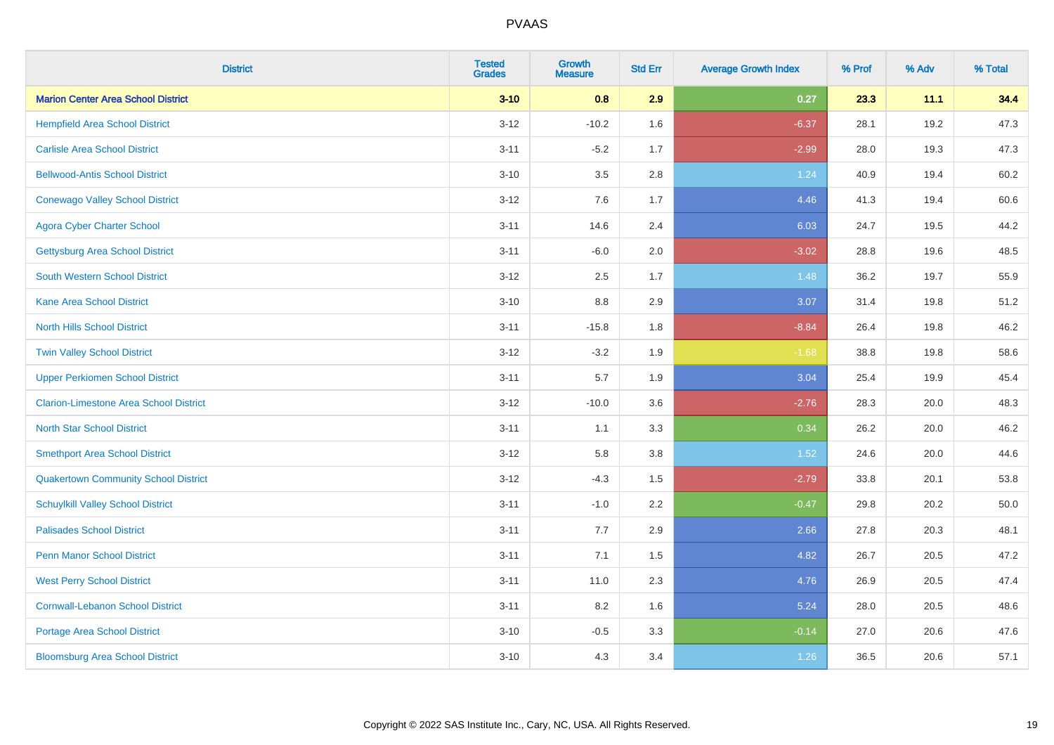| <b>District</b>                               | <b>Tested</b><br><b>Grades</b> | Growth<br><b>Measure</b> | <b>Std Err</b> | <b>Average Growth Index</b> | % Prof | % Adv | % Total |
|-----------------------------------------------|--------------------------------|--------------------------|----------------|-----------------------------|--------|-------|---------|
| <b>Marion Center Area School District</b>     | $3 - 10$                       | 0.8                      | 2.9            | 0.27                        | 23.3   | 11.1  | 34.4    |
| <b>Hempfield Area School District</b>         | $3-12$                         | $-10.2$                  | 1.6            | $-6.37$                     | 28.1   | 19.2  | 47.3    |
| <b>Carlisle Area School District</b>          | $3 - 11$                       | $-5.2$                   | 1.7            | $-2.99$                     | 28.0   | 19.3  | 47.3    |
| <b>Bellwood-Antis School District</b>         | $3 - 10$                       | 3.5                      | 2.8            | 1.24                        | 40.9   | 19.4  | 60.2    |
| <b>Conewago Valley School District</b>        | $3-12$                         | 7.6                      | 1.7            | 4.46                        | 41.3   | 19.4  | 60.6    |
| <b>Agora Cyber Charter School</b>             | $3 - 11$                       | 14.6                     | 2.4            | 6.03                        | 24.7   | 19.5  | 44.2    |
| <b>Gettysburg Area School District</b>        | $3 - 11$                       | $-6.0$                   | 2.0            | $-3.02$                     | 28.8   | 19.6  | 48.5    |
| <b>South Western School District</b>          | $3 - 12$                       | 2.5                      | 1.7            | 1.48                        | 36.2   | 19.7  | 55.9    |
| <b>Kane Area School District</b>              | $3 - 10$                       | 8.8                      | 2.9            | 3.07                        | 31.4   | 19.8  | 51.2    |
| <b>North Hills School District</b>            | $3 - 11$                       | $-15.8$                  | 1.8            | $-8.84$                     | 26.4   | 19.8  | 46.2    |
| <b>Twin Valley School District</b>            | $3 - 12$                       | $-3.2$                   | 1.9            | $-1.68$                     | 38.8   | 19.8  | 58.6    |
| <b>Upper Perkiomen School District</b>        | $3 - 11$                       | 5.7                      | 1.9            | 3.04                        | 25.4   | 19.9  | 45.4    |
| <b>Clarion-Limestone Area School District</b> | $3-12$                         | $-10.0$                  | 3.6            | $-2.76$                     | 28.3   | 20.0  | 48.3    |
| <b>North Star School District</b>             | $3 - 11$                       | 1.1                      | 3.3            | 0.34                        | 26.2   | 20.0  | 46.2    |
| <b>Smethport Area School District</b>         | $3-12$                         | 5.8                      | 3.8            | 1.52                        | 24.6   | 20.0  | 44.6    |
| <b>Quakertown Community School District</b>   | $3 - 12$                       | $-4.3$                   | 1.5            | $-2.79$                     | 33.8   | 20.1  | 53.8    |
| <b>Schuylkill Valley School District</b>      | $3 - 11$                       | $-1.0$                   | 2.2            | $-0.47$                     | 29.8   | 20.2  | 50.0    |
| <b>Palisades School District</b>              | $3 - 11$                       | 7.7                      | 2.9            | 2.66                        | 27.8   | 20.3  | 48.1    |
| <b>Penn Manor School District</b>             | $3 - 11$                       | 7.1                      | 1.5            | 4.82                        | 26.7   | 20.5  | 47.2    |
| <b>West Perry School District</b>             | $3 - 11$                       | 11.0                     | 2.3            | 4.76                        | 26.9   | 20.5  | 47.4    |
| <b>Cornwall-Lebanon School District</b>       | $3 - 11$                       | 8.2                      | 1.6            | 5.24                        | 28.0   | 20.5  | 48.6    |
| <b>Portage Area School District</b>           | $3 - 10$                       | $-0.5$                   | 3.3            | $-0.14$                     | 27.0   | 20.6  | 47.6    |
| <b>Bloomsburg Area School District</b>        | $3 - 10$                       | 4.3                      | 3.4            | 1.26                        | 36.5   | 20.6  | 57.1    |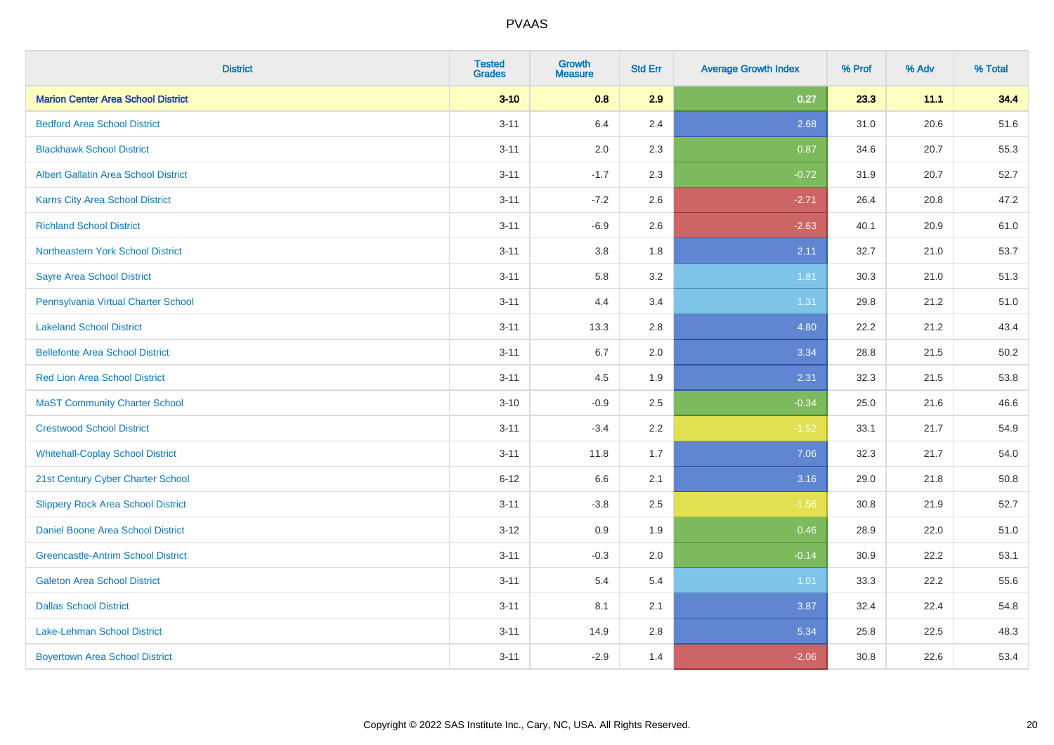| <b>District</b>                             | <b>Tested</b><br><b>Grades</b> | <b>Growth</b><br><b>Measure</b> | <b>Std Err</b> | <b>Average Growth Index</b> | % Prof | % Adv | % Total |
|---------------------------------------------|--------------------------------|---------------------------------|----------------|-----------------------------|--------|-------|---------|
| <b>Marion Center Area School District</b>   | $3 - 10$                       | 0.8                             | 2.9            | 0.27                        | 23.3   | 11.1  | 34.4    |
| <b>Bedford Area School District</b>         | $3 - 11$                       | 6.4                             | 2.4            | 2.68                        | 31.0   | 20.6  | 51.6    |
| <b>Blackhawk School District</b>            | $3 - 11$                       | 2.0                             | 2.3            | 0.87                        | 34.6   | 20.7  | 55.3    |
| <b>Albert Gallatin Area School District</b> | $3 - 11$                       | $-1.7$                          | 2.3            | $-0.72$                     | 31.9   | 20.7  | 52.7    |
| Karns City Area School District             | $3 - 11$                       | $-7.2$                          | 2.6            | $-2.71$                     | 26.4   | 20.8  | 47.2    |
| <b>Richland School District</b>             | $3 - 11$                       | $-6.9$                          | 2.6            | $-2.63$                     | 40.1   | 20.9  | 61.0    |
| <b>Northeastern York School District</b>    | $3 - 11$                       | 3.8                             | 1.8            | 2.11                        | 32.7   | 21.0  | 53.7    |
| <b>Sayre Area School District</b>           | $3 - 11$                       | 5.8                             | 3.2            | 1.81                        | 30.3   | 21.0  | 51.3    |
| Pennsylvania Virtual Charter School         | $3 - 11$                       | 4.4                             | 3.4            | 1.31                        | 29.8   | 21.2  | 51.0    |
| <b>Lakeland School District</b>             | $3 - 11$                       | 13.3                            | 2.8            | 4.80                        | 22.2   | 21.2  | 43.4    |
| <b>Bellefonte Area School District</b>      | $3 - 11$                       | 6.7                             | 2.0            | 3.34                        | 28.8   | 21.5  | 50.2    |
| <b>Red Lion Area School District</b>        | $3 - 11$                       | 4.5                             | 1.9            | 2.31                        | 32.3   | 21.5  | 53.8    |
| <b>MaST Community Charter School</b>        | $3 - 10$                       | $-0.9$                          | 2.5            | $-0.34$                     | 25.0   | 21.6  | 46.6    |
| <b>Crestwood School District</b>            | $3 - 11$                       | $-3.4$                          | 2.2            | $-1.52$                     | 33.1   | 21.7  | 54.9    |
| <b>Whitehall-Coplay School District</b>     | $3 - 11$                       | 11.8                            | 1.7            | 7.06                        | 32.3   | 21.7  | 54.0    |
| 21st Century Cyber Charter School           | $6 - 12$                       | 6.6                             | 2.1            | 3.16                        | 29.0   | 21.8  | 50.8    |
| <b>Slippery Rock Area School District</b>   | $3 - 11$                       | $-3.8$                          | 2.5            | $-1.56$                     | 30.8   | 21.9  | 52.7    |
| Daniel Boone Area School District           | $3 - 12$                       | 0.9                             | 1.9            | 0.46                        | 28.9   | 22.0  | 51.0    |
| <b>Greencastle-Antrim School District</b>   | $3 - 11$                       | $-0.3$                          | 2.0            | $-0.14$                     | 30.9   | 22.2  | 53.1    |
| <b>Galeton Area School District</b>         | $3 - 11$                       | 5.4                             | 5.4            | 1.01                        | 33.3   | 22.2  | 55.6    |
| <b>Dallas School District</b>               | $3 - 11$                       | 8.1                             | 2.1            | 3.87                        | 32.4   | 22.4  | 54.8    |
| Lake-Lehman School District                 | $3 - 11$                       | 14.9                            | 2.8            | 5.34                        | 25.8   | 22.5  | 48.3    |
| <b>Boyertown Area School District</b>       | $3 - 11$                       | $-2.9$                          | 1.4            | $-2.06$                     | 30.8   | 22.6  | 53.4    |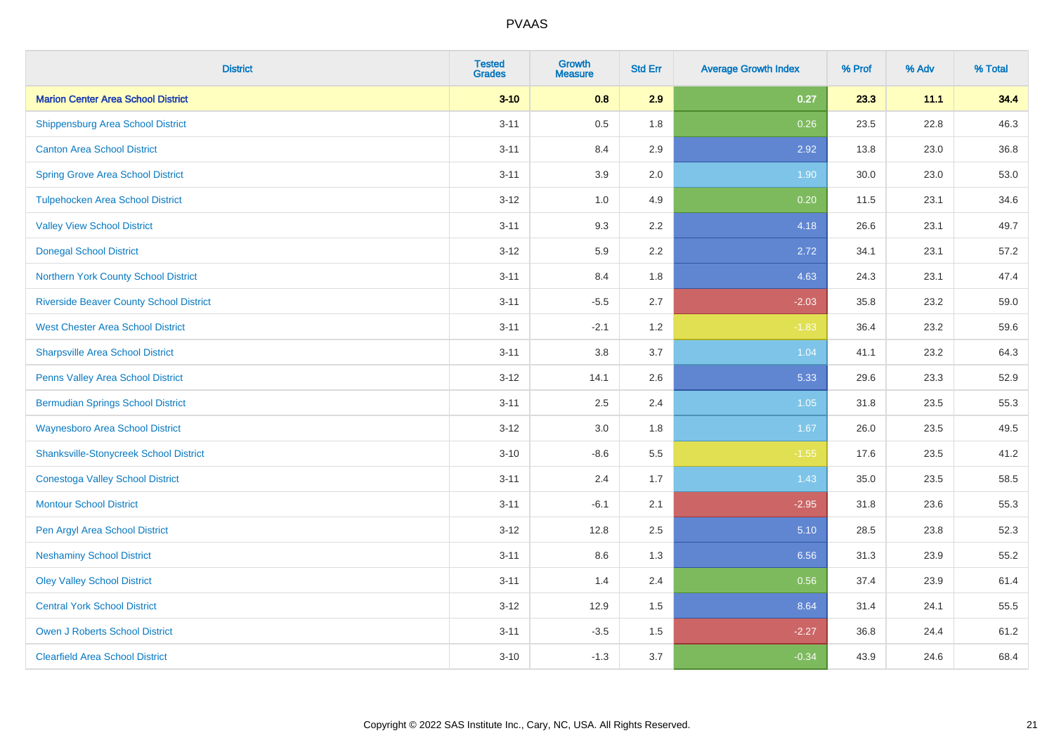| <b>District</b>                                | <b>Tested</b><br><b>Grades</b> | <b>Growth</b><br><b>Measure</b> | <b>Std Err</b> | <b>Average Growth Index</b> | % Prof | % Adv | % Total |
|------------------------------------------------|--------------------------------|---------------------------------|----------------|-----------------------------|--------|-------|---------|
| <b>Marion Center Area School District</b>      | $3 - 10$                       | 0.8                             | 2.9            | 0.27                        | 23.3   | 11.1  | 34.4    |
| <b>Shippensburg Area School District</b>       | $3 - 11$                       | 0.5                             | 1.8            | 0.26                        | 23.5   | 22.8  | 46.3    |
| <b>Canton Area School District</b>             | $3 - 11$                       | 8.4                             | 2.9            | 2.92                        | 13.8   | 23.0  | 36.8    |
| <b>Spring Grove Area School District</b>       | $3 - 11$                       | 3.9                             | 2.0            | 1.90                        | 30.0   | 23.0  | 53.0    |
| <b>Tulpehocken Area School District</b>        | $3 - 12$                       | 1.0                             | 4.9            | 0.20                        | 11.5   | 23.1  | 34.6    |
| <b>Valley View School District</b>             | $3 - 11$                       | 9.3                             | 2.2            | 4.18                        | 26.6   | 23.1  | 49.7    |
| <b>Donegal School District</b>                 | $3 - 12$                       | 5.9                             | 2.2            | 2.72                        | 34.1   | 23.1  | 57.2    |
| Northern York County School District           | $3 - 11$                       | 8.4                             | 1.8            | 4.63                        | 24.3   | 23.1  | 47.4    |
| <b>Riverside Beaver County School District</b> | $3 - 11$                       | $-5.5$                          | 2.7            | $-2.03$                     | 35.8   | 23.2  | 59.0    |
| <b>West Chester Area School District</b>       | $3 - 11$                       | $-2.1$                          | 1.2            | $-1.83$                     | 36.4   | 23.2  | 59.6    |
| <b>Sharpsville Area School District</b>        | $3 - 11$                       | 3.8                             | 3.7            | 1.04                        | 41.1   | 23.2  | 64.3    |
| Penns Valley Area School District              | $3 - 12$                       | 14.1                            | 2.6            | 5.33                        | 29.6   | 23.3  | 52.9    |
| <b>Bermudian Springs School District</b>       | $3 - 11$                       | 2.5                             | 2.4            | 1.05                        | 31.8   | 23.5  | 55.3    |
| <b>Waynesboro Area School District</b>         | $3 - 12$                       | 3.0                             | 1.8            | 1.67                        | 26.0   | 23.5  | 49.5    |
| <b>Shanksville-Stonycreek School District</b>  | $3 - 10$                       | $-8.6$                          | 5.5            | $-1.55$                     | 17.6   | 23.5  | 41.2    |
| <b>Conestoga Valley School District</b>        | $3 - 11$                       | 2.4                             | 1.7            | 1.43                        | 35.0   | 23.5  | 58.5    |
| <b>Montour School District</b>                 | $3 - 11$                       | $-6.1$                          | 2.1            | $-2.95$                     | 31.8   | 23.6  | 55.3    |
| Pen Argyl Area School District                 | $3 - 12$                       | 12.8                            | 2.5            | 5.10                        | 28.5   | 23.8  | 52.3    |
| <b>Neshaminy School District</b>               | $3 - 11$                       | 8.6                             | 1.3            | 6.56                        | 31.3   | 23.9  | 55.2    |
| <b>Oley Valley School District</b>             | $3 - 11$                       | 1.4                             | 2.4            | 0.56                        | 37.4   | 23.9  | 61.4    |
| <b>Central York School District</b>            | $3-12$                         | 12.9                            | 1.5            | 8.64                        | 31.4   | 24.1  | 55.5    |
| <b>Owen J Roberts School District</b>          | $3 - 11$                       | $-3.5$                          | 1.5            | $-2.27$                     | 36.8   | 24.4  | 61.2    |
| <b>Clearfield Area School District</b>         | $3 - 10$                       | $-1.3$                          | 3.7            | $-0.34$                     | 43.9   | 24.6  | 68.4    |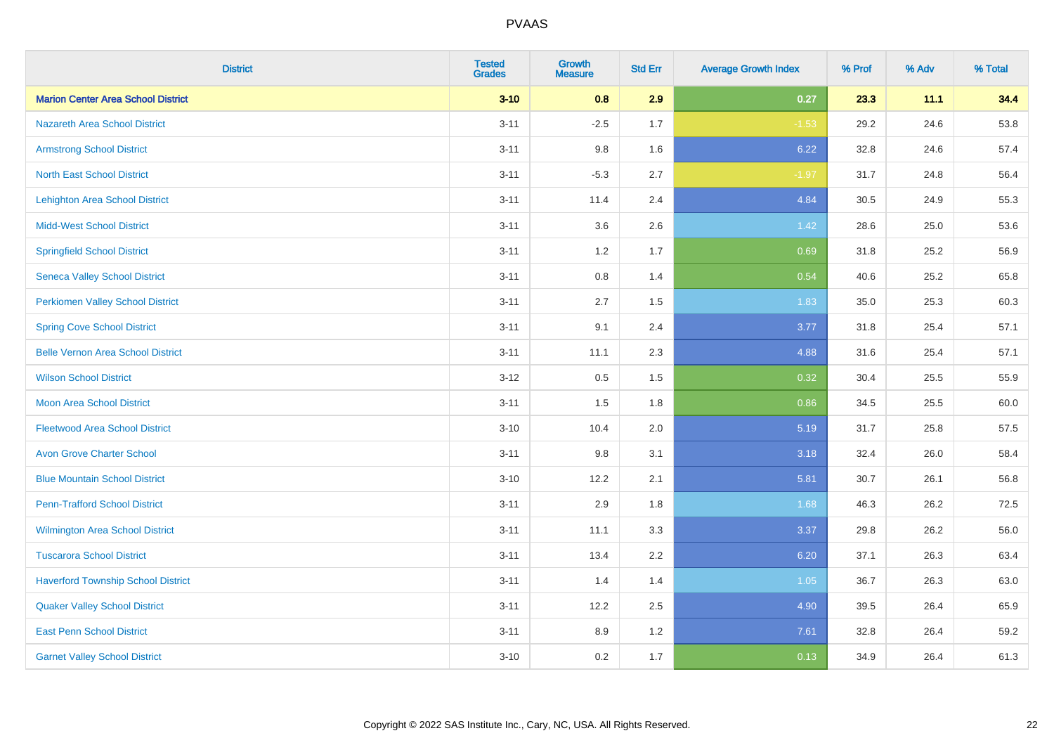| <b>District</b>                           | <b>Tested</b><br><b>Grades</b> | <b>Growth</b><br><b>Measure</b> | <b>Std Err</b> | <b>Average Growth Index</b> | % Prof | % Adv | % Total |
|-------------------------------------------|--------------------------------|---------------------------------|----------------|-----------------------------|--------|-------|---------|
| <b>Marion Center Area School District</b> | $3 - 10$                       | 0.8                             | 2.9            | 0.27                        | 23.3   | 11.1  | 34.4    |
| <b>Nazareth Area School District</b>      | $3 - 11$                       | $-2.5$                          | 1.7            | $-1.53$                     | 29.2   | 24.6  | 53.8    |
| <b>Armstrong School District</b>          | $3 - 11$                       | 9.8                             | 1.6            | 6.22                        | 32.8   | 24.6  | 57.4    |
| <b>North East School District</b>         | $3 - 11$                       | $-5.3$                          | 2.7            | $-1.97$                     | 31.7   | 24.8  | 56.4    |
| <b>Lehighton Area School District</b>     | $3 - 11$                       | 11.4                            | 2.4            | 4.84                        | 30.5   | 24.9  | 55.3    |
| <b>Midd-West School District</b>          | $3 - 11$                       | 3.6                             | 2.6            | 1.42                        | 28.6   | 25.0  | 53.6    |
| <b>Springfield School District</b>        | $3 - 11$                       | 1.2                             | 1.7            | 0.69                        | 31.8   | 25.2  | 56.9    |
| <b>Seneca Valley School District</b>      | $3 - 11$                       | 0.8                             | 1.4            | 0.54                        | 40.6   | 25.2  | 65.8    |
| <b>Perkiomen Valley School District</b>   | $3 - 11$                       | 2.7                             | 1.5            | 1.83                        | 35.0   | 25.3  | 60.3    |
| <b>Spring Cove School District</b>        | $3 - 11$                       | 9.1                             | 2.4            | 3.77                        | 31.8   | 25.4  | 57.1    |
| <b>Belle Vernon Area School District</b>  | $3 - 11$                       | 11.1                            | 2.3            | 4.88                        | 31.6   | 25.4  | 57.1    |
| <b>Wilson School District</b>             | $3 - 12$                       | 0.5                             | 1.5            | 0.32                        | 30.4   | 25.5  | 55.9    |
| Moon Area School District                 | $3 - 11$                       | 1.5                             | 1.8            | 0.86                        | 34.5   | 25.5  | 60.0    |
| <b>Fleetwood Area School District</b>     | $3 - 10$                       | 10.4                            | 2.0            | 5.19                        | 31.7   | 25.8  | 57.5    |
| <b>Avon Grove Charter School</b>          | $3 - 11$                       | 9.8                             | 3.1            | 3.18                        | 32.4   | 26.0  | 58.4    |
| <b>Blue Mountain School District</b>      | $3 - 10$                       | 12.2                            | 2.1            | 5.81                        | 30.7   | 26.1  | 56.8    |
| <b>Penn-Trafford School District</b>      | $3 - 11$                       | 2.9                             | 1.8            | 1.68                        | 46.3   | 26.2  | 72.5    |
| <b>Wilmington Area School District</b>    | $3 - 11$                       | 11.1                            | 3.3            | 3.37                        | 29.8   | 26.2  | 56.0    |
| <b>Tuscarora School District</b>          | $3 - 11$                       | 13.4                            | 2.2            | 6.20                        | 37.1   | 26.3  | 63.4    |
| <b>Haverford Township School District</b> | $3 - 11$                       | 1.4                             | 1.4            | 1.05                        | 36.7   | 26.3  | 63.0    |
| <b>Quaker Valley School District</b>      | $3 - 11$                       | 12.2                            | 2.5            | 4.90                        | 39.5   | 26.4  | 65.9    |
| <b>East Penn School District</b>          | $3 - 11$                       | 8.9                             | 1.2            | 7.61                        | 32.8   | 26.4  | 59.2    |
| <b>Garnet Valley School District</b>      | $3 - 10$                       | 0.2                             | 1.7            | 0.13                        | 34.9   | 26.4  | 61.3    |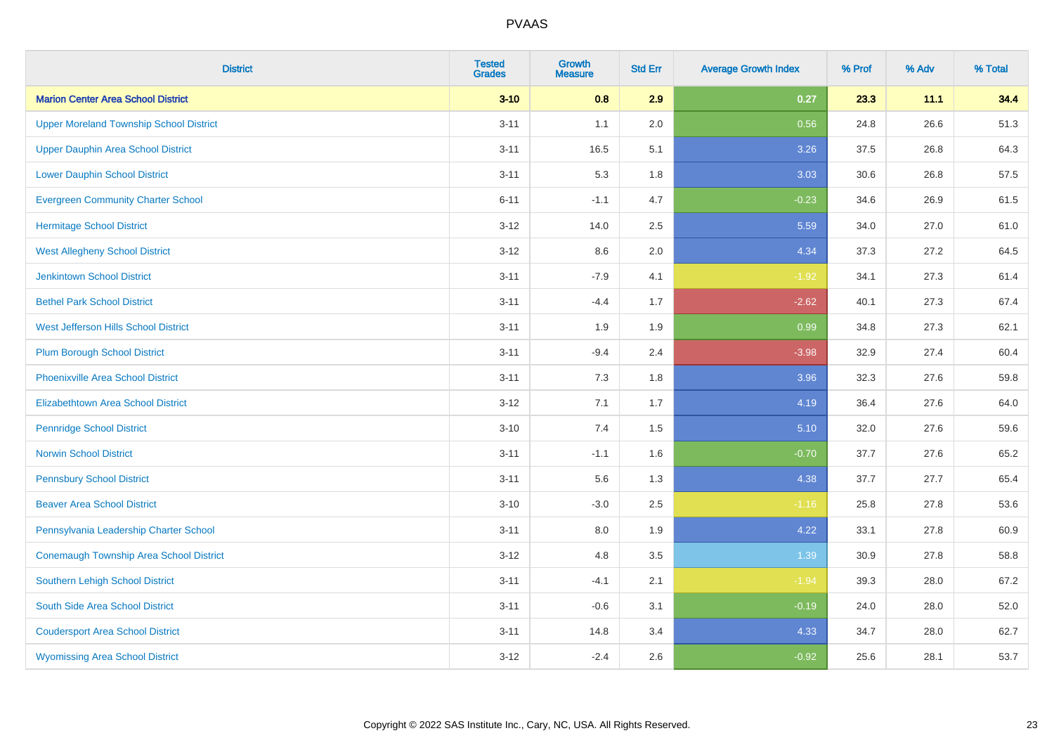| <b>District</b>                                | <b>Tested</b><br><b>Grades</b> | <b>Growth</b><br><b>Measure</b> | <b>Std Err</b> | <b>Average Growth Index</b> | % Prof | % Adv | % Total |
|------------------------------------------------|--------------------------------|---------------------------------|----------------|-----------------------------|--------|-------|---------|
| <b>Marion Center Area School District</b>      | $3 - 10$                       | 0.8                             | 2.9            | 0.27                        | 23.3   | 11.1  | 34.4    |
| <b>Upper Moreland Township School District</b> | $3 - 11$                       | 1.1                             | 2.0            | 0.56                        | 24.8   | 26.6  | 51.3    |
| <b>Upper Dauphin Area School District</b>      | $3 - 11$                       | 16.5                            | 5.1            | 3.26                        | 37.5   | 26.8  | 64.3    |
| <b>Lower Dauphin School District</b>           | $3 - 11$                       | 5.3                             | 1.8            | 3.03                        | 30.6   | 26.8  | 57.5    |
| <b>Evergreen Community Charter School</b>      | $6 - 11$                       | $-1.1$                          | 4.7            | $-0.23$                     | 34.6   | 26.9  | 61.5    |
| <b>Hermitage School District</b>               | $3 - 12$                       | 14.0                            | 2.5            | 5.59                        | 34.0   | 27.0  | 61.0    |
| <b>West Allegheny School District</b>          | $3-12$                         | 8.6                             | 2.0            | 4.34                        | 37.3   | 27.2  | 64.5    |
| <b>Jenkintown School District</b>              | $3 - 11$                       | $-7.9$                          | 4.1            | $-1.92$                     | 34.1   | 27.3  | 61.4    |
| <b>Bethel Park School District</b>             | $3 - 11$                       | $-4.4$                          | 1.7            | $-2.62$                     | 40.1   | 27.3  | 67.4    |
| West Jefferson Hills School District           | $3 - 11$                       | 1.9                             | 1.9            | 0.99                        | 34.8   | 27.3  | 62.1    |
| <b>Plum Borough School District</b>            | $3 - 11$                       | $-9.4$                          | 2.4            | $-3.98$                     | 32.9   | 27.4  | 60.4    |
| <b>Phoenixville Area School District</b>       | $3 - 11$                       | 7.3                             | 1.8            | 3.96                        | 32.3   | 27.6  | 59.8    |
| Elizabethtown Area School District             | $3 - 12$                       | 7.1                             | 1.7            | 4.19                        | 36.4   | 27.6  | 64.0    |
| <b>Pennridge School District</b>               | $3 - 10$                       | 7.4                             | 1.5            | 5.10                        | 32.0   | 27.6  | 59.6    |
| <b>Norwin School District</b>                  | $3 - 11$                       | $-1.1$                          | 1.6            | $-0.70$                     | 37.7   | 27.6  | 65.2    |
| <b>Pennsbury School District</b>               | $3 - 11$                       | 5.6                             | 1.3            | 4.38                        | 37.7   | 27.7  | 65.4    |
| <b>Beaver Area School District</b>             | $3 - 10$                       | $-3.0$                          | 2.5            | $-1.16$                     | 25.8   | 27.8  | 53.6    |
| Pennsylvania Leadership Charter School         | $3 - 11$                       | 8.0                             | 1.9            | 4.22                        | 33.1   | 27.8  | 60.9    |
| <b>Conemaugh Township Area School District</b> | $3 - 12$                       | 4.8                             | 3.5            | 1.39                        | 30.9   | 27.8  | 58.8    |
| <b>Southern Lehigh School District</b>         | $3 - 11$                       | $-4.1$                          | 2.1            | $-1.94$                     | 39.3   | 28.0  | 67.2    |
| South Side Area School District                | $3 - 11$                       | $-0.6$                          | 3.1            | $-0.19$                     | 24.0   | 28.0  | 52.0    |
| <b>Coudersport Area School District</b>        | $3 - 11$                       | 14.8                            | 3.4            | 4.33                        | 34.7   | 28.0  | 62.7    |
| <b>Wyomissing Area School District</b>         | $3 - 12$                       | $-2.4$                          | 2.6            | $-0.92$                     | 25.6   | 28.1  | 53.7    |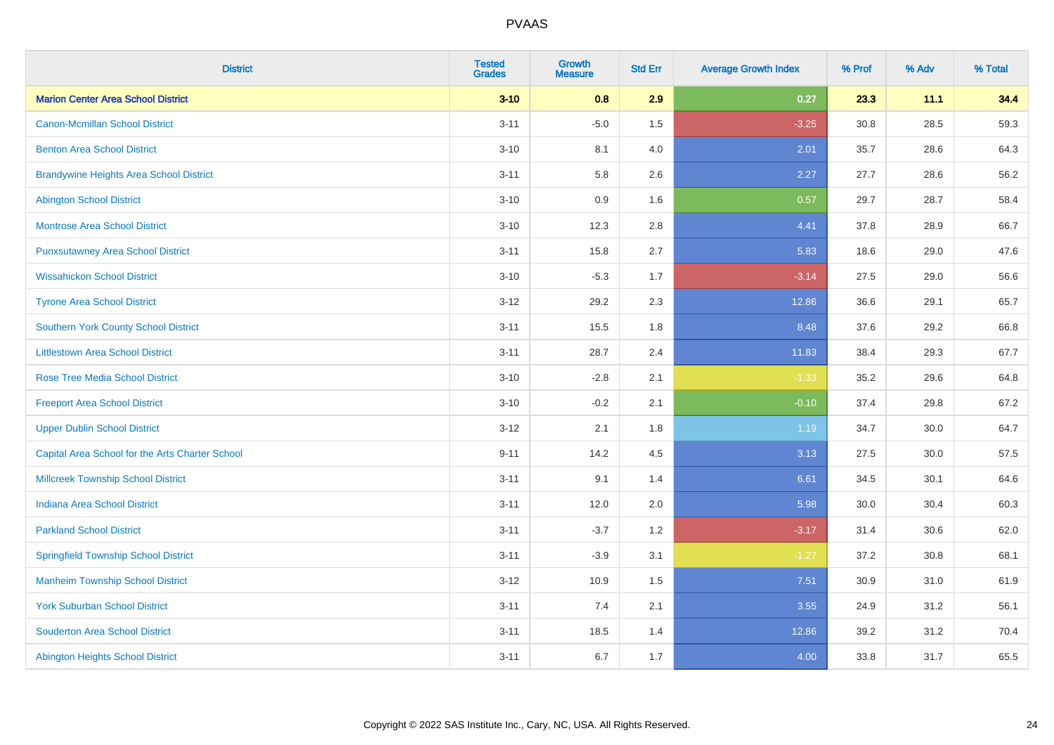| <b>District</b>                                 | <b>Tested</b><br><b>Grades</b> | <b>Growth</b><br><b>Measure</b> | <b>Std Err</b> | <b>Average Growth Index</b> | % Prof | % Adv | % Total |
|-------------------------------------------------|--------------------------------|---------------------------------|----------------|-----------------------------|--------|-------|---------|
| <b>Marion Center Area School District</b>       | $3 - 10$                       | 0.8                             | 2.9            | 0.27                        | 23.3   | 11.1  | 34.4    |
| <b>Canon-Mcmillan School District</b>           | $3 - 11$                       | $-5.0$                          | 1.5            | $-3.25$                     | 30.8   | 28.5  | 59.3    |
| <b>Benton Area School District</b>              | $3 - 10$                       | 8.1                             | 4.0            | 2.01                        | 35.7   | 28.6  | 64.3    |
| <b>Brandywine Heights Area School District</b>  | $3 - 11$                       | 5.8                             | 2.6            | 2.27                        | 27.7   | 28.6  | 56.2    |
| <b>Abington School District</b>                 | $3 - 10$                       | 0.9                             | 1.6            | 0.57                        | 29.7   | 28.7  | 58.4    |
| <b>Montrose Area School District</b>            | $3 - 10$                       | 12.3                            | 2.8            | 4.41                        | 37.8   | 28.9  | 66.7    |
| <b>Punxsutawney Area School District</b>        | $3 - 11$                       | 15.8                            | 2.7            | 5.83                        | 18.6   | 29.0  | 47.6    |
| <b>Wissahickon School District</b>              | $3 - 10$                       | $-5.3$                          | 1.7            | $-3.14$                     | 27.5   | 29.0  | 56.6    |
| <b>Tyrone Area School District</b>              | $3 - 12$                       | 29.2                            | 2.3            | 12.86                       | 36.6   | 29.1  | 65.7    |
| <b>Southern York County School District</b>     | $3 - 11$                       | 15.5                            | 1.8            | 8.48                        | 37.6   | 29.2  | 66.8    |
| <b>Littlestown Area School District</b>         | $3 - 11$                       | 28.7                            | 2.4            | 11.83                       | 38.4   | 29.3  | 67.7    |
| <b>Rose Tree Media School District</b>          | $3 - 10$                       | $-2.8$                          | 2.1            | $-1.33$                     | 35.2   | 29.6  | 64.8    |
| <b>Freeport Area School District</b>            | $3 - 10$                       | $-0.2$                          | 2.1            | $-0.10$                     | 37.4   | 29.8  | 67.2    |
| <b>Upper Dublin School District</b>             | $3 - 12$                       | 2.1                             | 1.8            | 1.19                        | 34.7   | 30.0  | 64.7    |
| Capital Area School for the Arts Charter School | $9 - 11$                       | 14.2                            | 4.5            | 3.13                        | 27.5   | 30.0  | 57.5    |
| <b>Millcreek Township School District</b>       | $3 - 11$                       | 9.1                             | 1.4            | 6.61                        | 34.5   | 30.1  | 64.6    |
| <b>Indiana Area School District</b>             | $3 - 11$                       | 12.0                            | 2.0            | 5.98                        | 30.0   | 30.4  | 60.3    |
| <b>Parkland School District</b>                 | $3 - 11$                       | $-3.7$                          | 1.2            | $-3.17$                     | 31.4   | 30.6  | 62.0    |
| <b>Springfield Township School District</b>     | $3 - 11$                       | $-3.9$                          | 3.1            | $-1.27$                     | 37.2   | 30.8  | 68.1    |
| <b>Manheim Township School District</b>         | $3 - 12$                       | 10.9                            | 1.5            | 7.51                        | 30.9   | 31.0  | 61.9    |
| <b>York Suburban School District</b>            | $3 - 11$                       | 7.4                             | 2.1            | 3.55                        | 24.9   | 31.2  | 56.1    |
| <b>Souderton Area School District</b>           | $3 - 11$                       | 18.5                            | 1.4            | 12.86                       | 39.2   | 31.2  | 70.4    |
| <b>Abington Heights School District</b>         | $3 - 11$                       | 6.7                             | 1.7            | 4.00                        | 33.8   | 31.7  | 65.5    |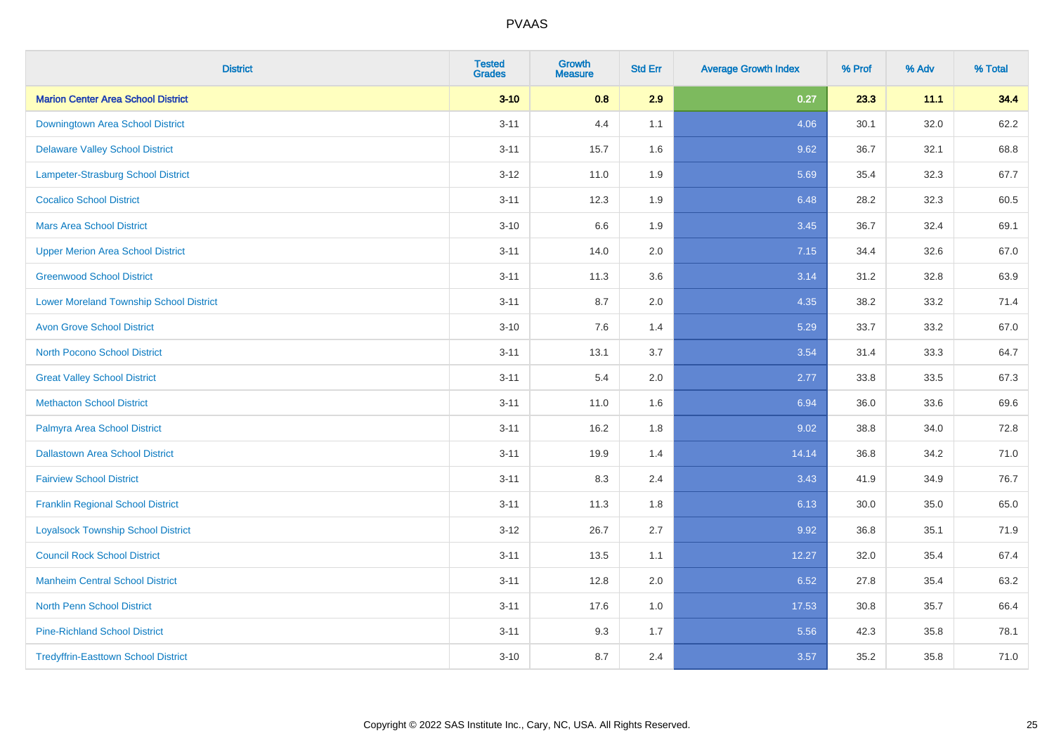| <b>District</b>                                | <b>Tested</b><br><b>Grades</b> | Growth<br><b>Measure</b> | <b>Std Err</b> | <b>Average Growth Index</b> | % Prof | % Adv | % Total |
|------------------------------------------------|--------------------------------|--------------------------|----------------|-----------------------------|--------|-------|---------|
| <b>Marion Center Area School District</b>      | $3 - 10$                       | 0.8                      | 2.9            | 0.27                        | 23.3   | 11.1  | 34.4    |
| Downingtown Area School District               | $3 - 11$                       | 4.4                      | 1.1            | 4.06                        | 30.1   | 32.0  | 62.2    |
| <b>Delaware Valley School District</b>         | $3 - 11$                       | 15.7                     | 1.6            | 9.62                        | 36.7   | 32.1  | 68.8    |
| Lampeter-Strasburg School District             | $3 - 12$                       | 11.0                     | 1.9            | 5.69                        | 35.4   | 32.3  | 67.7    |
| <b>Cocalico School District</b>                | $3 - 11$                       | 12.3                     | 1.9            | 6.48                        | 28.2   | 32.3  | 60.5    |
| <b>Mars Area School District</b>               | $3 - 10$                       | 6.6                      | 1.9            | 3.45                        | 36.7   | 32.4  | 69.1    |
| <b>Upper Merion Area School District</b>       | $3 - 11$                       | 14.0                     | 2.0            | 7.15                        | 34.4   | 32.6  | 67.0    |
| <b>Greenwood School District</b>               | $3 - 11$                       | 11.3                     | 3.6            | 3.14                        | 31.2   | 32.8  | 63.9    |
| <b>Lower Moreland Township School District</b> | $3 - 11$                       | 8.7                      | 2.0            | 4.35                        | 38.2   | 33.2  | 71.4    |
| <b>Avon Grove School District</b>              | $3 - 10$                       | 7.6                      | 1.4            | 5.29                        | 33.7   | 33.2  | 67.0    |
| <b>North Pocono School District</b>            | $3 - 11$                       | 13.1                     | 3.7            | 3.54                        | 31.4   | 33.3  | 64.7    |
| <b>Great Valley School District</b>            | $3 - 11$                       | 5.4                      | 2.0            | 2.77                        | 33.8   | 33.5  | 67.3    |
| <b>Methacton School District</b>               | $3 - 11$                       | 11.0                     | 1.6            | 6.94                        | 36.0   | 33.6  | 69.6    |
| Palmyra Area School District                   | $3 - 11$                       | 16.2                     | 1.8            | 9.02                        | 38.8   | 34.0  | 72.8    |
| <b>Dallastown Area School District</b>         | $3 - 11$                       | 19.9                     | 1.4            | 14.14                       | 36.8   | 34.2  | 71.0    |
| <b>Fairview School District</b>                | $3 - 11$                       | 8.3                      | 2.4            | 3.43                        | 41.9   | 34.9  | 76.7    |
| <b>Franklin Regional School District</b>       | $3 - 11$                       | 11.3                     | 1.8            | 6.13                        | 30.0   | 35.0  | 65.0    |
| <b>Loyalsock Township School District</b>      | $3 - 12$                       | 26.7                     | 2.7            | 9.92                        | 36.8   | 35.1  | 71.9    |
| <b>Council Rock School District</b>            | $3 - 11$                       | 13.5                     | 1.1            | 12.27                       | 32.0   | 35.4  | 67.4    |
| <b>Manheim Central School District</b>         | $3 - 11$                       | 12.8                     | 2.0            | 6.52                        | 27.8   | 35.4  | 63.2    |
| <b>North Penn School District</b>              | $3 - 11$                       | 17.6                     | 1.0            | 17.53                       | 30.8   | 35.7  | 66.4    |
| <b>Pine-Richland School District</b>           | $3 - 11$                       | 9.3                      | 1.7            | 5.56                        | 42.3   | 35.8  | 78.1    |
| <b>Tredyffrin-Easttown School District</b>     | $3 - 10$                       | 8.7                      | 2.4            | 3.57                        | 35.2   | 35.8  | 71.0    |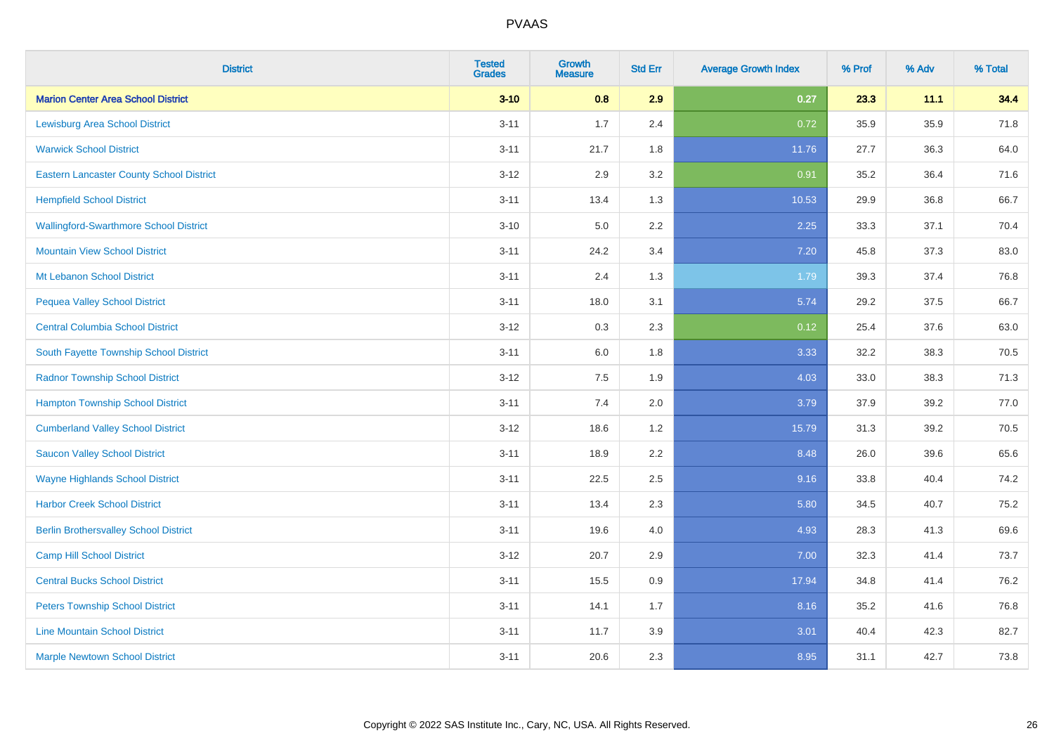| <b>District</b>                                 | <b>Tested</b><br><b>Grades</b> | <b>Growth</b><br><b>Measure</b> | <b>Std Err</b> | <b>Average Growth Index</b> | % Prof | % Adv | % Total |
|-------------------------------------------------|--------------------------------|---------------------------------|----------------|-----------------------------|--------|-------|---------|
| <b>Marion Center Area School District</b>       | $3 - 10$                       | 0.8                             | 2.9            | 0.27                        | 23.3   | 11.1  | 34.4    |
| <b>Lewisburg Area School District</b>           | $3 - 11$                       | 1.7                             | 2.4            | 0.72                        | 35.9   | 35.9  | 71.8    |
| <b>Warwick School District</b>                  | $3 - 11$                       | 21.7                            | 1.8            | 11.76                       | 27.7   | 36.3  | 64.0    |
| <b>Eastern Lancaster County School District</b> | $3 - 12$                       | 2.9                             | 3.2            | 0.91                        | 35.2   | 36.4  | 71.6    |
| <b>Hempfield School District</b>                | $3 - 11$                       | 13.4                            | 1.3            | 10.53                       | 29.9   | 36.8  | 66.7    |
| <b>Wallingford-Swarthmore School District</b>   | $3 - 10$                       | 5.0                             | 2.2            | 2.25                        | 33.3   | 37.1  | 70.4    |
| <b>Mountain View School District</b>            | $3 - 11$                       | 24.2                            | 3.4            | 7.20                        | 45.8   | 37.3  | 83.0    |
| Mt Lebanon School District                      | $3 - 11$                       | 2.4                             | 1.3            | 1.79                        | 39.3   | 37.4  | 76.8    |
| <b>Pequea Valley School District</b>            | $3 - 11$                       | 18.0                            | 3.1            | 5.74                        | 29.2   | 37.5  | 66.7    |
| <b>Central Columbia School District</b>         | $3 - 12$                       | 0.3                             | 2.3            | 0.12                        | 25.4   | 37.6  | 63.0    |
| South Fayette Township School District          | $3 - 11$                       | 6.0                             | 1.8            | 3.33                        | 32.2   | 38.3  | 70.5    |
| <b>Radnor Township School District</b>          | $3 - 12$                       | 7.5                             | 1.9            | 4.03                        | 33.0   | 38.3  | 71.3    |
| <b>Hampton Township School District</b>         | $3 - 11$                       | $7.4$                           | 2.0            | 3.79                        | 37.9   | 39.2  | 77.0    |
| <b>Cumberland Valley School District</b>        | $3 - 12$                       | 18.6                            | 1.2            | 15.79                       | 31.3   | 39.2  | 70.5    |
| <b>Saucon Valley School District</b>            | $3 - 11$                       | 18.9                            | 2.2            | 8.48                        | 26.0   | 39.6  | 65.6    |
| <b>Wayne Highlands School District</b>          | $3 - 11$                       | 22.5                            | 2.5            | 9.16                        | 33.8   | 40.4  | 74.2    |
| <b>Harbor Creek School District</b>             | $3 - 11$                       | 13.4                            | 2.3            | 5.80                        | 34.5   | 40.7  | 75.2    |
| <b>Berlin Brothersvalley School District</b>    | $3 - 11$                       | 19.6                            | 4.0            | 4.93                        | 28.3   | 41.3  | 69.6    |
| <b>Camp Hill School District</b>                | $3 - 12$                       | 20.7                            | 2.9            | 7.00                        | 32.3   | 41.4  | 73.7    |
| <b>Central Bucks School District</b>            | $3 - 11$                       | 15.5                            | 0.9            | 17.94                       | 34.8   | 41.4  | 76.2    |
| <b>Peters Township School District</b>          | $3 - 11$                       | 14.1                            | 1.7            | 8.16                        | 35.2   | 41.6  | 76.8    |
| <b>Line Mountain School District</b>            | $3 - 11$                       | 11.7                            | 3.9            | 3.01                        | 40.4   | 42.3  | 82.7    |
| <b>Marple Newtown School District</b>           | $3 - 11$                       | 20.6                            | 2.3            | 8.95                        | 31.1   | 42.7  | 73.8    |